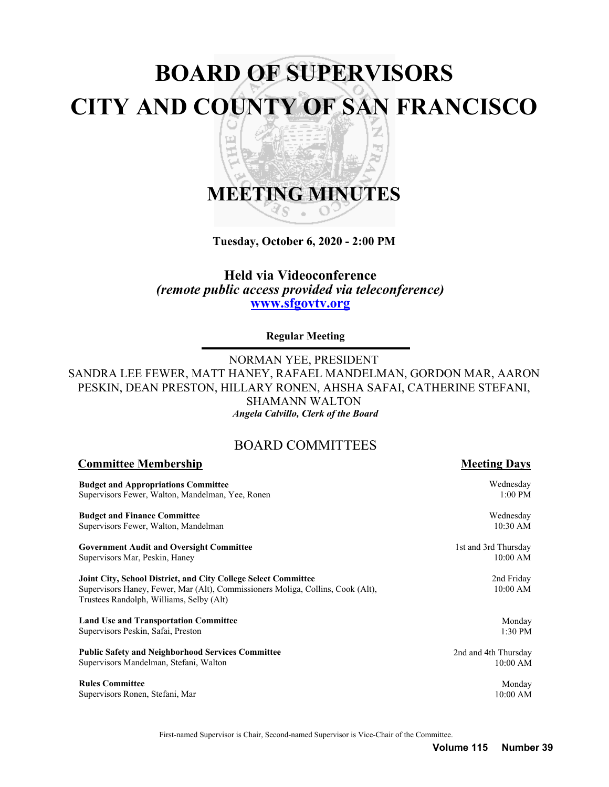# **BOARD OF SUPERVISORS CITY AND COUNTY OF SAN FRANCISCO** z 띠 h<sub>a</sub>

# **MEETING MINUTES** S

**Tuesday, October 6, 2020 - 2:00 PM**

# **Held via Videoconference** *(remote public access provided via teleconference)* **<www.sfgovtv.org>**

**Regular Meeting**

NORMAN YEE, PRESIDENT SANDRA LEE FEWER, MATT HANEY, RAFAEL MANDELMAN, GORDON MAR, AARON PESKIN, DEAN PRESTON, HILLARY RONEN, AHSHA SAFAI, CATHERINE STEFANI, SHAMANN WALTON *Angela Calvillo, Clerk of the Board*

# BOARD COMMITTEES

| <b>Committee Membership</b>                                                                                                 | <b>Meeting Days</b>  |
|-----------------------------------------------------------------------------------------------------------------------------|----------------------|
| <b>Budget and Appropriations Committee</b>                                                                                  | Wednesday            |
| Supervisors Fewer, Walton, Mandelman, Yee, Ronen                                                                            | $1:00$ PM            |
| <b>Budget and Finance Committee</b>                                                                                         | Wednesday            |
| Supervisors Fewer, Walton, Mandelman                                                                                        | 10:30 AM             |
| <b>Government Audit and Oversight Committee</b>                                                                             | 1st and 3rd Thursday |
| Supervisors Mar, Peskin, Haney                                                                                              | $10:00$ AM           |
| Joint City, School District, and City College Select Committee                                                              | 2nd Friday           |
| Supervisors Haney, Fewer, Mar (Alt), Commissioners Moliga, Collins, Cook (Alt),<br>Trustees Randolph, Williams, Selby (Alt) | 10:00 AM             |
| <b>Land Use and Transportation Committee</b>                                                                                | Monday               |
| Supervisors Peskin, Safai, Preston                                                                                          | 1:30 PM              |
| <b>Public Safety and Neighborhood Services Committee</b>                                                                    | 2nd and 4th Thursday |
| Supervisors Mandelman, Stefani, Walton                                                                                      | $10:00$ AM           |
| <b>Rules Committee</b>                                                                                                      | Monday               |
| Supervisors Ronen, Stefani, Mar                                                                                             | $10:00$ AM           |

First-named Supervisor is Chair, Second-named Supervisor is Vice-Chair of the Committee.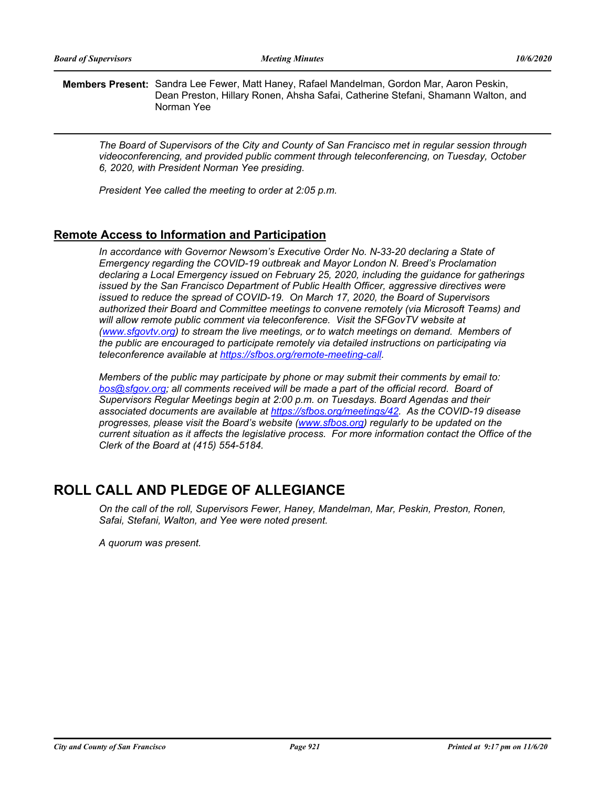**Members Present:** Sandra Lee Fewer, Matt Haney, Rafael Mandelman, Gordon Mar, Aaron Peskin, Dean Preston, Hillary Ronen, Ahsha Safai, Catherine Stefani, Shamann Walton, and Norman Yee

*The Board of Supervisors of the City and County of San Francisco met in regular session through videoconferencing, and provided public comment through teleconferencing, on Tuesday, October 6, 2020, with President Norman Yee presiding.* 

*President Yee called the meeting to order at 2:05 p.m.*

# **Remote Access to Information and Participation**

In accordance with Governor Newsom's Executive Order No. N-33-20 declaring a State of *Emergency regarding the COVID-19 outbreak and Mayor London N. Breed's Proclamation declaring a Local Emergency issued on February 25, 2020, including the guidance for gatherings issued by the San Francisco Department of Public Health Officer, aggressive directives were issued to reduce the spread of COVID-19. On March 17, 2020, the Board of Supervisors authorized their Board and Committee meetings to convene remotely (via Microsoft Teams) and*  will allow remote public comment via teleconference. Visit the SFGovTV website at *[\(www.sfgovtv.org\) t](www.sfgovtv.org)o stream the live meetings, or to watch meetings on demand. Members of the public are encouraged to participate remotely via detailed instructions on participating via teleconference available at [https://sfbos.org/remote-meeting-call.](https://sfbos.org/remote-meeting-call)* 

*Members of the public may participate by phone or may submit their comments by email to: [bos@sfgov.org;](mailto:bos@sfgov.org) all comments received will be made a part of the official record. Board of Supervisors Regular Meetings begin at 2:00 p.m. on Tuesdays. Board Agendas and their associated documents are available at [https://sfbos.org/meetings/42.](https://sfbos.org/meetings/42) As the COVID-19 disease progresses, please visit the Board's website [\(www.sfbos.org\)](www.sfbos.org) regularly to be updated on the current situation as it affects the legislative process. For more information contact the Office of the Clerk of the Board at (415) 554-5184.*

# **ROLL CALL AND PLEDGE OF ALLEGIANCE**

*On the call of the roll, Supervisors Fewer, Haney, Mandelman, Mar, Peskin, Preston, Ronen, Safai, Stefani, Walton, and Yee were noted present.* 

*A quorum was present.*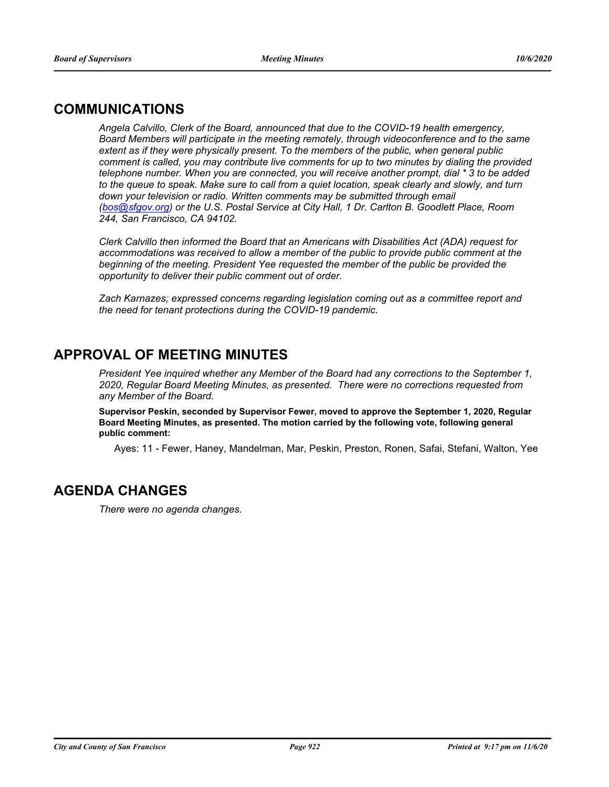# **COMMUNICATIONS**

*Angela Calvillo, Clerk of the Board, announced that due to the COVID-19 health emergency, Board Members will participate in the meeting remotely, through videoconference and to the same extent as if they were physically present. To the members of the public, when general public comment is called, you may contribute live comments for up to two minutes by dialing the provided telephone number. When you are connected, you will receive another prompt, dial \* 3 to be added to the queue to speak. Make sure to call from a quiet location, speak clearly and slowly, and turn*  down your television or radio. Written comments may be submitted through email *[\(bos@sfgov.org\) o](mailto:bos@sfgov.org)r the U.S. Postal Service at City Hall, 1 Dr. Carlton B. Goodlett Place, Room 244, San Francisco, CA 94102.*

*Clerk Calvillo then informed the Board that an Americans with Disabilities Act (ADA) request for accommodations was received to allow a member of the public to provide public comment at the beginning of the meeting. President Yee requested the member of the public be provided the opportunity to deliver their public comment out of order.*

*Zach Karnazes; expressed concerns regarding legislation coming out as a committee report and the need for tenant protections during the COVID-19 pandemic.*

# **APPROVAL OF MEETING MINUTES**

*President Yee inquired whether any Member of the Board had any corrections to the September 1, 2020, Regular Board Meeting Minutes, as presented. There were no corrections requested from any Member of the Board.*

**Supervisor Peskin, seconded by Supervisor Fewer, moved to approve the September 1, 2020, Regular Board Meeting Minutes, as presented. The motion carried by the following vote, following general public comment:**

Ayes: 11 - Fewer, Haney, Mandelman, Mar, Peskin, Preston, Ronen, Safai, Stefani, Walton, Yee

# **AGENDA CHANGES**

*There were no agenda changes.*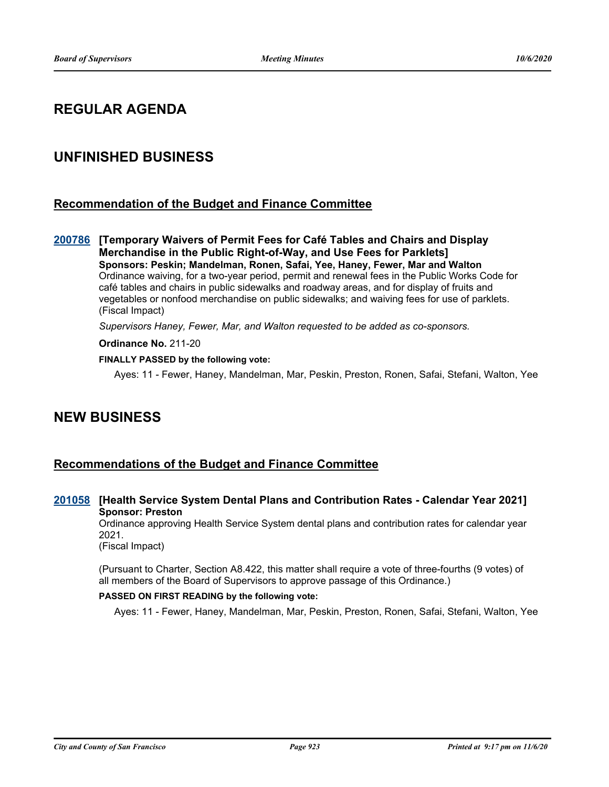# **REGULAR AGENDA**

# **UNFINISHED BUSINESS**

# **Recommendation of the Budget and Finance Committee**

**[Temporary Waivers of Permit Fees for Café Tables and Chairs and Display [200786](http://sfgov.legistar.com/gateway.aspx?m=l&id=36222) Merchandise in the Public Right-of-Way, and Use Fees for Parklets] Sponsors: Peskin; Mandelman, Ronen, Safai, Yee, Haney, Fewer, Mar and Walton** Ordinance waiving, for a two-year period, permit and renewal fees in the Public Works Code for café tables and chairs in public sidewalks and roadway areas, and for display of fruits and vegetables or nonfood merchandise on public sidewalks; and waiving fees for use of parklets. (Fiscal Impact)

*Supervisors Haney, Fewer, Mar, and Walton requested to be added as co-sponsors.*

**Ordinance No.** 211-20

#### **FINALLY PASSED by the following vote:**

Ayes: 11 - Fewer, Haney, Mandelman, Mar, Peskin, Preston, Ronen, Safai, Stefani, Walton, Yee

# **NEW BUSINESS**

# **Recommendations of the Budget and Finance Committee**

### **[201058](http://sfgov.legistar.com/gateway.aspx?m=l&id=36494) [Health Service System Dental Plans and Contribution Rates - Calendar Year 2021] Sponsor: Preston**

Ordinance approving Health Service System dental plans and contribution rates for calendar year 2021.

(Fiscal Impact)

(Pursuant to Charter, Section A8.422, this matter shall require a vote of three-fourths (9 votes) of all members of the Board of Supervisors to approve passage of this Ordinance.)

#### **PASSED ON FIRST READING by the following vote:**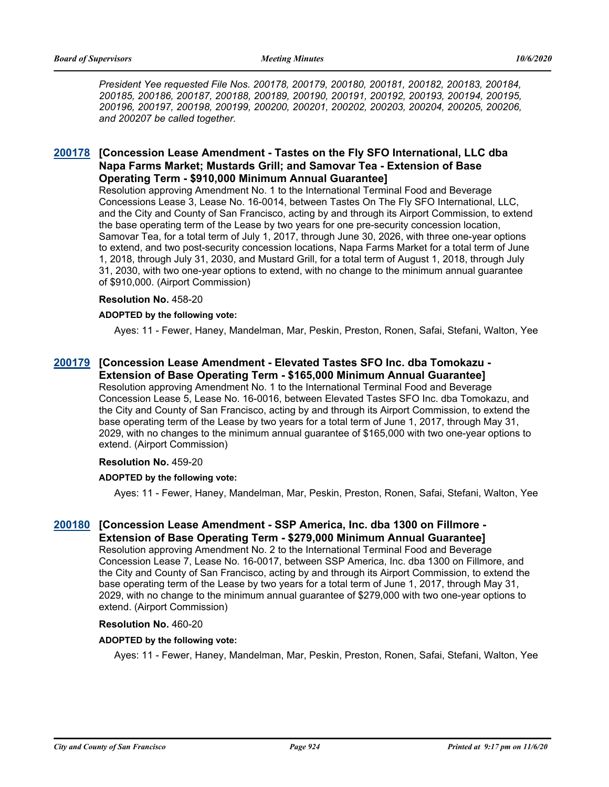*President Yee requested File Nos. 200178, 200179, 200180, 200181, 200182, 200183, 200184, 200185, 200186, 200187, 200188, 200189, 200190, 200191, 200192, 200193, 200194, 200195, 200196, 200197, 200198, 200199, 200200, 200201, 200202, 200203, 200204, 200205, 200206, and 200207 be called together.*

# **[Concession Lease Amendment - Tastes on the Fly SFO International, LLC dba [200178](http://sfgov.legistar.com/gateway.aspx?m=l&id=35614) Napa Farms Market; Mustards Grill; and Samovar Tea - Extension of Base Operating Term - \$910,000 Minimum Annual Guarantee]**

Resolution approving Amendment No. 1 to the International Terminal Food and Beverage Concessions Lease 3, Lease No. 16-0014, between Tastes On The Fly SFO International, LLC, and the City and County of San Francisco, acting by and through its Airport Commission, to extend the base operating term of the Lease by two years for one pre-security concession location, Samovar Tea, for a total term of July 1, 2017, through June 30, 2026, with three one-year options to extend, and two post-security concession locations, Napa Farms Market for a total term of June 1, 2018, through July 31, 2030, and Mustard Grill, for a total term of August 1, 2018, through July 31, 2030, with two one-year options to extend, with no change to the minimum annual guarantee of \$910,000. (Airport Commission)

#### **Resolution No.** 458-20

#### **ADOPTED by the following vote:**

Ayes: 11 - Fewer, Haney, Mandelman, Mar, Peskin, Preston, Ronen, Safai, Stefani, Walton, Yee

#### **[Concession Lease Amendment - Elevated Tastes SFO Inc. dba Tomokazu - [200179](http://sfgov.legistar.com/gateway.aspx?m=l&id=35615) Extension of Base Operating Term - \$165,000 Minimum Annual Guarantee]**

Resolution approving Amendment No. 1 to the International Terminal Food and Beverage Concession Lease 5, Lease No. 16-0016, between Elevated Tastes SFO Inc. dba Tomokazu, and the City and County of San Francisco, acting by and through its Airport Commission, to extend the base operating term of the Lease by two years for a total term of June 1, 2017, through May 31, 2029, with no changes to the minimum annual guarantee of \$165,000 with two one-year options to extend. (Airport Commission)

#### **Resolution No.** 459-20

#### **ADOPTED by the following vote:**

Ayes: 11 - Fewer, Haney, Mandelman, Mar, Peskin, Preston, Ronen, Safai, Stefani, Walton, Yee

# **[Concession Lease Amendment - SSP America, Inc. dba 1300 on Fillmore - [200180](http://sfgov.legistar.com/gateway.aspx?m=l&id=35616) Extension of Base Operating Term - \$279,000 Minimum Annual Guarantee]**

Resolution approving Amendment No. 2 to the International Terminal Food and Beverage Concession Lease 7, Lease No. 16-0017, between SSP America, Inc. dba 1300 on Fillmore, and the City and County of San Francisco, acting by and through its Airport Commission, to extend the base operating term of the Lease by two years for a total term of June 1, 2017, through May 31, 2029, with no change to the minimum annual guarantee of \$279,000 with two one-year options to extend. (Airport Commission)

#### **Resolution No.** 460-20

#### **ADOPTED by the following vote:**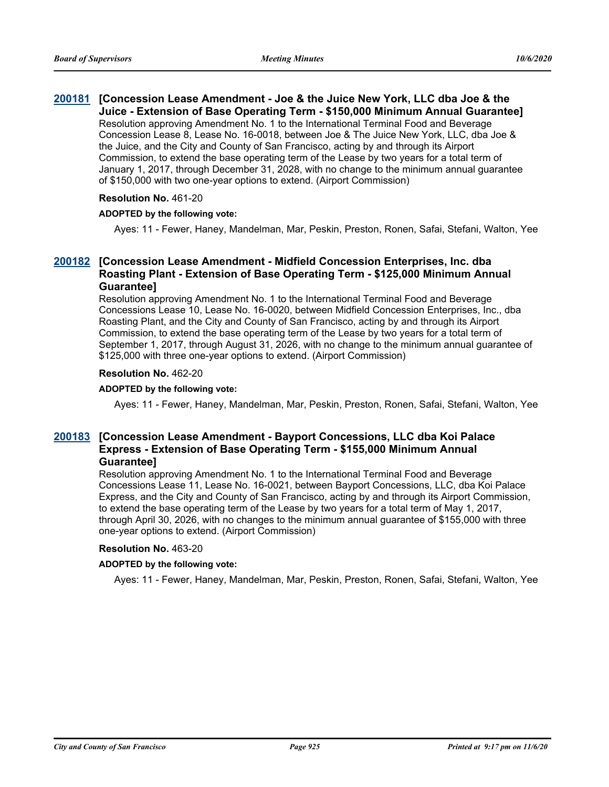#### **[Concession Lease Amendment - Joe & the Juice New York, LLC dba Joe & the [200181](http://sfgov.legistar.com/gateway.aspx?m=l&id=35617) Juice - Extension of Base Operating Term - \$150,000 Minimum Annual Guarantee]** Resolution approving Amendment No. 1 to the International Terminal Food and Beverage Concession Lease 8, Lease No. 16-0018, between Joe & The Juice New York, LLC, dba Joe & the Juice, and the City and County of San Francisco, acting by and through its Airport Commission, to extend the base operating term of the Lease by two years for a total term of January 1, 2017, through December 31, 2028, with no change to the minimum annual guarantee of \$150,000 with two one-year options to extend. (Airport Commission)

#### **Resolution No.** 461-20

#### **ADOPTED by the following vote:**

Ayes: 11 - Fewer, Haney, Mandelman, Mar, Peskin, Preston, Ronen, Safai, Stefani, Walton, Yee

# **[Concession Lease Amendment - Midfield Concession Enterprises, Inc. dba [200182](http://sfgov.legistar.com/gateway.aspx?m=l&id=35618) Roasting Plant - Extension of Base Operating Term - \$125,000 Minimum Annual Guarantee]**

Resolution approving Amendment No. 1 to the International Terminal Food and Beverage Concessions Lease 10, Lease No. 16-0020, between Midfield Concession Enterprises, Inc., dba Roasting Plant, and the City and County of San Francisco, acting by and through its Airport Commission, to extend the base operating term of the Lease by two years for a total term of September 1, 2017, through August 31, 2026, with no change to the minimum annual guarantee of \$125,000 with three one-year options to extend. (Airport Commission)

### **Resolution No.** 462-20

#### **ADOPTED by the following vote:**

Ayes: 11 - Fewer, Haney, Mandelman, Mar, Peskin, Preston, Ronen, Safai, Stefani, Walton, Yee

### **[Concession Lease Amendment - Bayport Concessions, LLC dba Koi Palace [200183](http://sfgov.legistar.com/gateway.aspx?m=l&id=35619) Express - Extension of Base Operating Term - \$155,000 Minimum Annual Guarantee]**

Resolution approving Amendment No. 1 to the International Terminal Food and Beverage Concessions Lease 11, Lease No. 16-0021, between Bayport Concessions, LLC, dba Koi Palace Express, and the City and County of San Francisco, acting by and through its Airport Commission, to extend the base operating term of the Lease by two years for a total term of May 1, 2017, through April 30, 2026, with no changes to the minimum annual guarantee of \$155,000 with three one-year options to extend. (Airport Commission)

#### **Resolution No.** 463-20

#### **ADOPTED by the following vote:**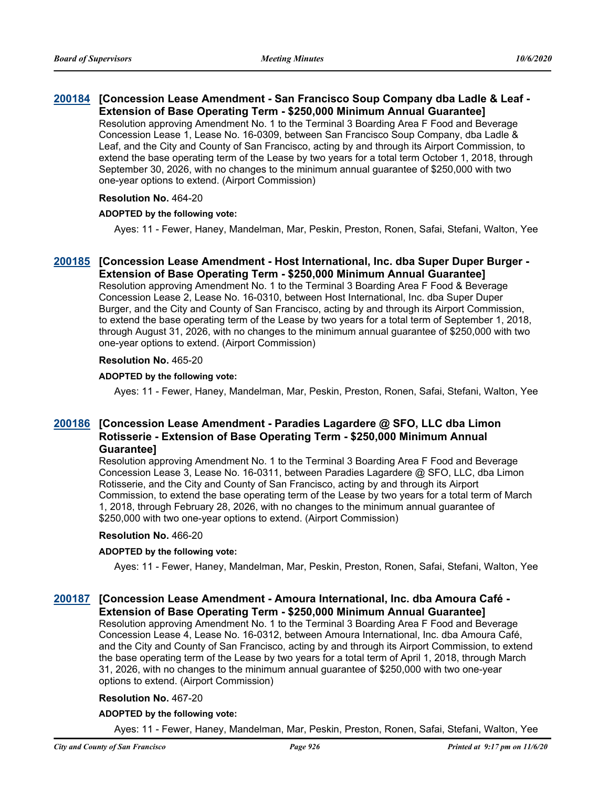# **[Concession Lease Amendment - San Francisco Soup Company dba Ladle & Leaf - [200184](http://sfgov.legistar.com/gateway.aspx?m=l&id=35620) Extension of Base Operating Term - \$250,000 Minimum Annual Guarantee]** Resolution approving Amendment No. 1 to the Terminal 3 Boarding Area F Food and Beverage Concession Lease 1, Lease No. 16-0309, between San Francisco Soup Company, dba Ladle &

Leaf, and the City and County of San Francisco, acting by and through its Airport Commission, to extend the base operating term of the Lease by two years for a total term October 1, 2018, through September 30, 2026, with no changes to the minimum annual guarantee of \$250,000 with two one-year options to extend. (Airport Commission)

### **Resolution No.** 464-20

### **ADOPTED by the following vote:**

Ayes: 11 - Fewer, Haney, Mandelman, Mar, Peskin, Preston, Ronen, Safai, Stefani, Walton, Yee

#### **[Concession Lease Amendment - Host International, Inc. dba Super Duper Burger - [200185](http://sfgov.legistar.com/gateway.aspx?m=l&id=35621) Extension of Base Operating Term - \$250,000 Minimum Annual Guarantee]**

Resolution approving Amendment No. 1 to the Terminal 3 Boarding Area F Food & Beverage Concession Lease 2, Lease No. 16-0310, between Host International, Inc. dba Super Duper Burger, and the City and County of San Francisco, acting by and through its Airport Commission, to extend the base operating term of the Lease by two years for a total term of September 1, 2018, through August 31, 2026, with no changes to the minimum annual guarantee of \$250,000 with two one-year options to extend. (Airport Commission)

### **Resolution No.** 465-20

#### **ADOPTED by the following vote:**

Ayes: 11 - Fewer, Haney, Mandelman, Mar, Peskin, Preston, Ronen, Safai, Stefani, Walton, Yee

# **[Concession Lease Amendment - Paradies Lagardere @ SFO, LLC dba Limon [200186](http://sfgov.legistar.com/gateway.aspx?m=l&id=35622) Rotisserie - Extension of Base Operating Term - \$250,000 Minimum Annual Guarantee]**

Resolution approving Amendment No. 1 to the Terminal 3 Boarding Area F Food and Beverage Concession Lease 3, Lease No. 16-0311, between Paradies Lagardere @ SFO, LLC, dba Limon Rotisserie, and the City and County of San Francisco, acting by and through its Airport Commission, to extend the base operating term of the Lease by two years for a total term of March 1, 2018, through February 28, 2026, with no changes to the minimum annual guarantee of \$250,000 with two one-year options to extend. (Airport Commission)

#### **Resolution No.** 466-20

#### **ADOPTED by the following vote:**

Ayes: 11 - Fewer, Haney, Mandelman, Mar, Peskin, Preston, Ronen, Safai, Stefani, Walton, Yee

# **[Concession Lease Amendment - Amoura International, Inc. dba Amoura Café - [200187](http://sfgov.legistar.com/gateway.aspx?m=l&id=35623) Extension of Base Operating Term - \$250,000 Minimum Annual Guarantee]**

Resolution approving Amendment No. 1 to the Terminal 3 Boarding Area F Food and Beverage Concession Lease 4, Lease No. 16-0312, between Amoura International, Inc. dba Amoura Café, and the City and County of San Francisco, acting by and through its Airport Commission, to extend the base operating term of the Lease by two years for a total term of April 1, 2018, through March 31, 2026, with no changes to the minimum annual guarantee of \$250,000 with two one-year options to extend. (Airport Commission)

### **Resolution No.** 467-20

#### **ADOPTED by the following vote:**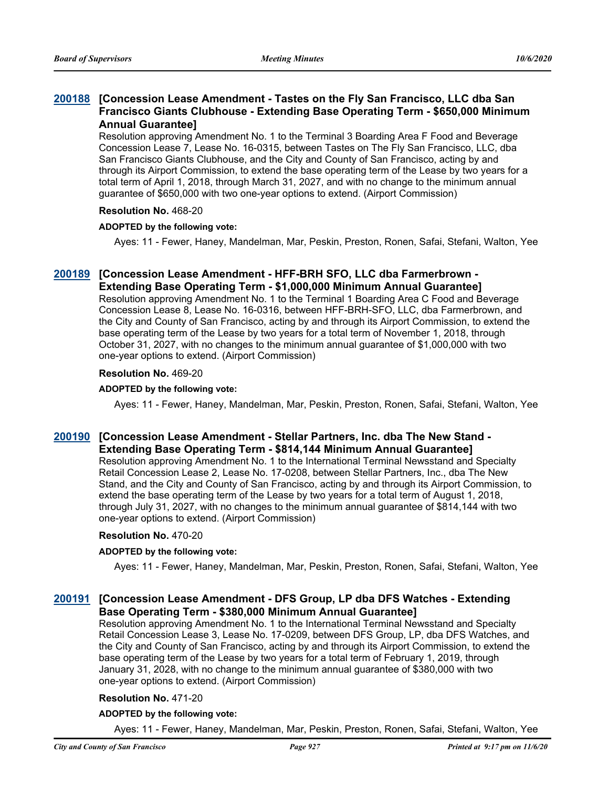# **[Concession Lease Amendment - Tastes on the Fly San Francisco, LLC dba San [200188](http://sfgov.legistar.com/gateway.aspx?m=l&id=35624) Francisco Giants Clubhouse - Extending Base Operating Term - \$650,000 Minimum Annual Guarantee]**

Resolution approving Amendment No. 1 to the Terminal 3 Boarding Area F Food and Beverage Concession Lease 7, Lease No. 16-0315, between Tastes on The Fly San Francisco, LLC, dba San Francisco Giants Clubhouse, and the City and County of San Francisco, acting by and through its Airport Commission, to extend the base operating term of the Lease by two years for a total term of April 1, 2018, through March 31, 2027, and with no change to the minimum annual guarantee of \$650,000 with two one-year options to extend. (Airport Commission)

#### **Resolution No.** 468-20

#### **ADOPTED by the following vote:**

Ayes: 11 - Fewer, Haney, Mandelman, Mar, Peskin, Preston, Ronen, Safai, Stefani, Walton, Yee

### **[Concession Lease Amendment - HFF-BRH SFO, LLC dba Farmerbrown - [200189](http://sfgov.legistar.com/gateway.aspx?m=l&id=35625) Extending Base Operating Term - \$1,000,000 Minimum Annual Guarantee]**

Resolution approving Amendment No. 1 to the Terminal 1 Boarding Area C Food and Beverage Concession Lease 8, Lease No. 16-0316, between HFF-BRH-SFO, LLC, dba Farmerbrown, and the City and County of San Francisco, acting by and through its Airport Commission, to extend the base operating term of the Lease by two years for a total term of November 1, 2018, through October 31, 2027, with no changes to the minimum annual guarantee of \$1,000,000 with two one-year options to extend. (Airport Commission)

#### **Resolution No.** 469-20

#### **ADOPTED by the following vote:**

Ayes: 11 - Fewer, Haney, Mandelman, Mar, Peskin, Preston, Ronen, Safai, Stefani, Walton, Yee

### **[Concession Lease Amendment - Stellar Partners, Inc. dba The New Stand - [200190](http://sfgov.legistar.com/gateway.aspx?m=l&id=35626) Extending Base Operating Term - \$814,144 Minimum Annual Guarantee]**

Resolution approving Amendment No. 1 to the International Terminal Newsstand and Specialty Retail Concession Lease 2, Lease No. 17-0208, between Stellar Partners, Inc., dba The New Stand, and the City and County of San Francisco, acting by and through its Airport Commission, to extend the base operating term of the Lease by two years for a total term of August 1, 2018, through July 31, 2027, with no changes to the minimum annual guarantee of \$814,144 with two one-year options to extend. (Airport Commission)

#### **Resolution No.** 470-20

#### **ADOPTED by the following vote:**

Ayes: 11 - Fewer, Haney, Mandelman, Mar, Peskin, Preston, Ronen, Safai, Stefani, Walton, Yee

### **[Concession Lease Amendment - DFS Group, LP dba DFS Watches - Extending [200191](http://sfgov.legistar.com/gateway.aspx?m=l&id=35627) Base Operating Term - \$380,000 Minimum Annual Guarantee]**

Resolution approving Amendment No. 1 to the International Terminal Newsstand and Specialty Retail Concession Lease 3, Lease No. 17-0209, between DFS Group, LP, dba DFS Watches, and the City and County of San Francisco, acting by and through its Airport Commission, to extend the base operating term of the Lease by two years for a total term of February 1, 2019, through January 31, 2028, with no change to the minimum annual guarantee of \$380,000 with two one-year options to extend. (Airport Commission)

#### **Resolution No.** 471-20

#### **ADOPTED by the following vote:**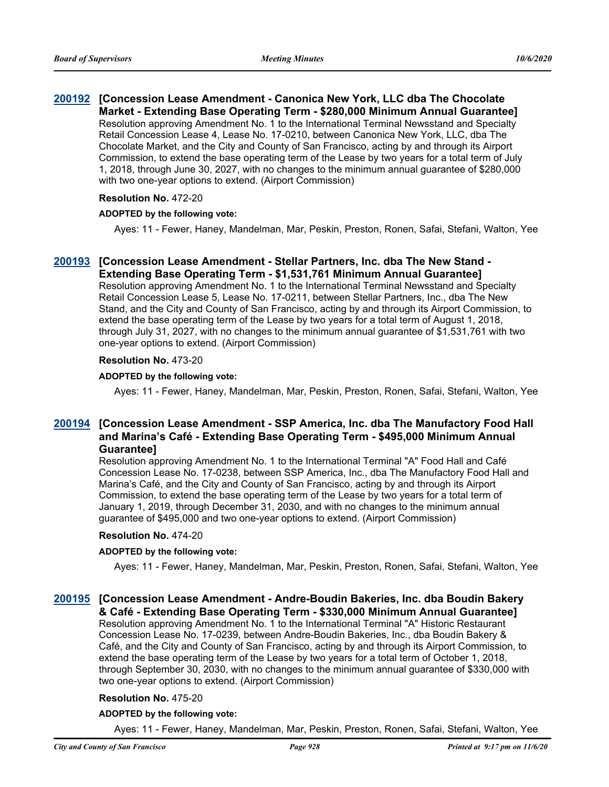#### **[Concession Lease Amendment - Canonica New York, LLC dba The Chocolate [200192](http://sfgov.legistar.com/gateway.aspx?m=l&id=35628) Market - Extending Base Operating Term - \$280,000 Minimum Annual Guarantee]** Resolution approving Amendment No. 1 to the International Terminal Newsstand and Specialty Retail Concession Lease 4, Lease No. 17-0210, between Canonica New York, LLC, dba The Chocolate Market, and the City and County of San Francisco, acting by and through its Airport Commission, to extend the base operating term of the Lease by two years for a total term of July 1, 2018, through June 30, 2027, with no changes to the minimum annual guarantee of \$280,000 with two one-year options to extend. (Airport Commission)

#### **Resolution No.** 472-20

#### **ADOPTED by the following vote:**

Ayes: 11 - Fewer, Haney, Mandelman, Mar, Peskin, Preston, Ronen, Safai, Stefani, Walton, Yee

#### **[Concession Lease Amendment - Stellar Partners, Inc. dba The New Stand - [200193](http://sfgov.legistar.com/gateway.aspx?m=l&id=35629) Extending Base Operating Term - \$1,531,761 Minimum Annual Guarantee]**

Resolution approving Amendment No. 1 to the International Terminal Newsstand and Specialty Retail Concession Lease 5, Lease No. 17-0211, between Stellar Partners, Inc., dba The New Stand, and the City and County of San Francisco, acting by and through its Airport Commission, to extend the base operating term of the Lease by two years for a total term of August 1, 2018, through July 31, 2027, with no changes to the minimum annual guarantee of \$1,531,761 with two one-year options to extend. (Airport Commission)

#### **Resolution No.** 473-20

#### **ADOPTED by the following vote:**

Ayes: 11 - Fewer, Haney, Mandelman, Mar, Peskin, Preston, Ronen, Safai, Stefani, Walton, Yee

# **[Concession Lease Amendment - SSP America, Inc. dba The Manufactory Food Hall [200194](http://sfgov.legistar.com/gateway.aspx?m=l&id=35630) and Marina's Café - Extending Base Operating Term - \$495,000 Minimum Annual Guarantee]**

Resolution approving Amendment No. 1 to the International Terminal "A" Food Hall and Café Concession Lease No. 17-0238, between SSP America, Inc., dba The Manufactory Food Hall and Marina's Café, and the City and County of San Francisco, acting by and through its Airport Commission, to extend the base operating term of the Lease by two years for a total term of January 1, 2019, through December 31, 2030, and with no changes to the minimum annual guarantee of \$495,000 and two one-year options to extend. (Airport Commission)

#### **Resolution No.** 474-20

#### **ADOPTED by the following vote:**

Ayes: 11 - Fewer, Haney, Mandelman, Mar, Peskin, Preston, Ronen, Safai, Stefani, Walton, Yee

### **[Concession Lease Amendment - Andre-Boudin Bakeries, Inc. dba Boudin Bakery [200195](http://sfgov.legistar.com/gateway.aspx?m=l&id=35631) & Café - Extending Base Operating Term - \$330,000 Minimum Annual Guarantee]**

Resolution approving Amendment No. 1 to the International Terminal "A" Historic Restaurant Concession Lease No. 17-0239, between Andre-Boudin Bakeries, Inc., dba Boudin Bakery & Café, and the City and County of San Francisco, acting by and through its Airport Commission, to extend the base operating term of the Lease by two years for a total term of October 1, 2018, through September 30, 2030, with no changes to the minimum annual guarantee of \$330,000 with two one-year options to extend. (Airport Commission)

#### **Resolution No.** 475-20

#### **ADOPTED by the following vote:**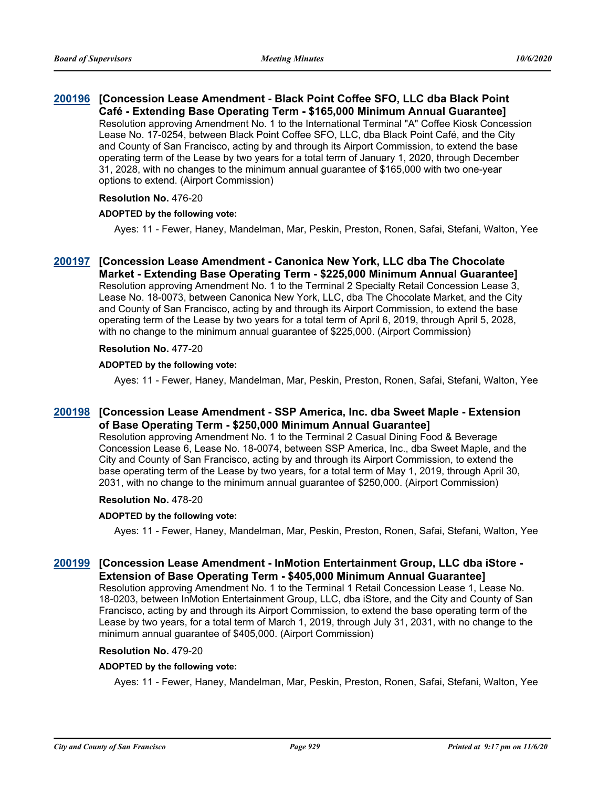#### **[Concession Lease Amendment - Black Point Coffee SFO, LLC dba Black Point [200196](http://sfgov.legistar.com/gateway.aspx?m=l&id=35632) Café - Extending Base Operating Term - \$165,000 Minimum Annual Guarantee]** Resolution approving Amendment No. 1 to the International Terminal "A" Coffee Kiosk Concession Lease No. 17-0254, between Black Point Coffee SFO, LLC, dba Black Point Café, and the City and County of San Francisco, acting by and through its Airport Commission, to extend the base operating term of the Lease by two years for a total term of January 1, 2020, through December 31, 2028, with no changes to the minimum annual guarantee of \$165,000 with two one-year options to extend. (Airport Commission)

#### **Resolution No.** 476-20

#### **ADOPTED by the following vote:**

Ayes: 11 - Fewer, Haney, Mandelman, Mar, Peskin, Preston, Ronen, Safai, Stefani, Walton, Yee

**[Concession Lease Amendment - Canonica New York, LLC dba The Chocolate [200197](http://sfgov.legistar.com/gateway.aspx?m=l&id=35633) Market - Extending Base Operating Term - \$225,000 Minimum Annual Guarantee]** Resolution approving Amendment No. 1 to the Terminal 2 Specialty Retail Concession Lease 3, Lease No. 18-0073, between Canonica New York, LLC, dba The Chocolate Market, and the City and County of San Francisco, acting by and through its Airport Commission, to extend the base operating term of the Lease by two years for a total term of April 6, 2019, through April 5, 2028, with no change to the minimum annual guarantee of \$225,000. (Airport Commission)

#### **Resolution No.** 477-20

#### **ADOPTED by the following vote:**

Ayes: 11 - Fewer, Haney, Mandelman, Mar, Peskin, Preston, Ronen, Safai, Stefani, Walton, Yee

### **[Concession Lease Amendment - SSP America, Inc. dba Sweet Maple - Extension [200198](http://sfgov.legistar.com/gateway.aspx?m=l&id=35634) of Base Operating Term - \$250,000 Minimum Annual Guarantee]**

Resolution approving Amendment No. 1 to the Terminal 2 Casual Dining Food & Beverage Concession Lease 6, Lease No. 18-0074, between SSP America, Inc., dba Sweet Maple, and the City and County of San Francisco, acting by and through its Airport Commission, to extend the base operating term of the Lease by two years, for a total term of May 1, 2019, through April 30, 2031, with no change to the minimum annual guarantee of \$250,000. (Airport Commission)

#### **Resolution No.** 478-20

#### **ADOPTED by the following vote:**

Ayes: 11 - Fewer, Haney, Mandelman, Mar, Peskin, Preston, Ronen, Safai, Stefani, Walton, Yee

# **[Concession Lease Amendment - InMotion Entertainment Group, LLC dba iStore - [200199](http://sfgov.legistar.com/gateway.aspx?m=l&id=35635) Extension of Base Operating Term - \$405,000 Minimum Annual Guarantee]**

Resolution approving Amendment No. 1 to the Terminal 1 Retail Concession Lease 1, Lease No. 18-0203, between InMotion Entertainment Group, LLC, dba iStore, and the City and County of San Francisco, acting by and through its Airport Commission, to extend the base operating term of the Lease by two years, for a total term of March 1, 2019, through July 31, 2031, with no change to the minimum annual guarantee of \$405,000. (Airport Commission)

#### **Resolution No.** 479-20

#### **ADOPTED by the following vote:**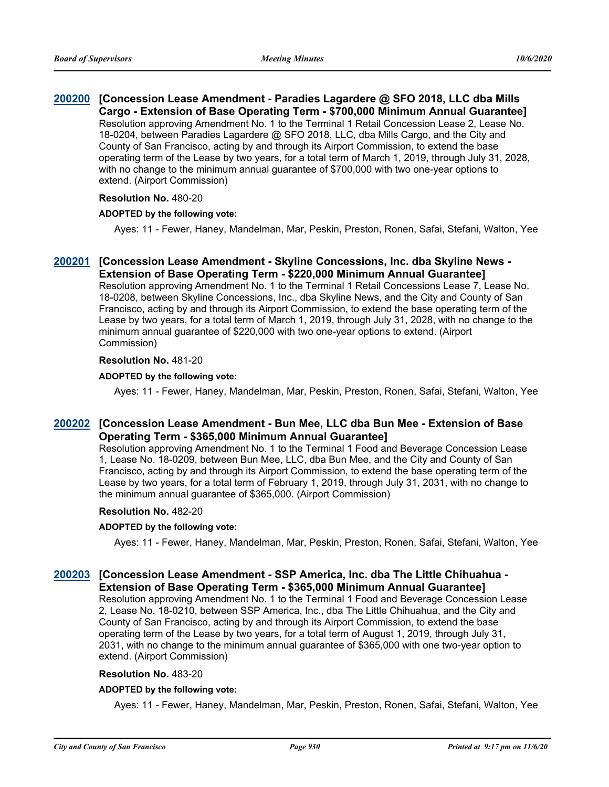#### **[Concession Lease Amendment - Paradies Lagardere @ SFO 2018, LLC dba Mills [200200](http://sfgov.legistar.com/gateway.aspx?m=l&id=35636) Cargo - Extension of Base Operating Term - \$700,000 Minimum Annual Guarantee]** Resolution approving Amendment No. 1 to the Terminal 1 Retail Concession Lease 2, Lease No. 18-0204, between Paradies Lagardere @ SFO 2018, LLC, dba Mills Cargo, and the City and County of San Francisco, acting by and through its Airport Commission, to extend the base operating term of the Lease by two years, for a total term of March 1, 2019, through July 31, 2028, with no change to the minimum annual guarantee of \$700,000 with two one-year options to extend. (Airport Commission)

#### **Resolution No.** 480-20

#### **ADOPTED by the following vote:**

Ayes: 11 - Fewer, Haney, Mandelman, Mar, Peskin, Preston, Ronen, Safai, Stefani, Walton, Yee

#### **[Concession Lease Amendment - Skyline Concessions, Inc. dba Skyline News - [200201](http://sfgov.legistar.com/gateway.aspx?m=l&id=35637) Extension of Base Operating Term - \$220,000 Minimum Annual Guarantee]**

Resolution approving Amendment No. 1 to the Terminal 1 Retail Concessions Lease 7, Lease No. 18-0208, between Skyline Concessions, Inc., dba Skyline News, and the City and County of San Francisco, acting by and through its Airport Commission, to extend the base operating term of the Lease by two years, for a total term of March 1, 2019, through July 31, 2028, with no change to the minimum annual guarantee of \$220,000 with two one-year options to extend. (Airport Commission)

#### **Resolution No.** 481-20

#### **ADOPTED by the following vote:**

Ayes: 11 - Fewer, Haney, Mandelman, Mar, Peskin, Preston, Ronen, Safai, Stefani, Walton, Yee

# **[Concession Lease Amendment - Bun Mee, LLC dba Bun Mee - Extension of Base [200202](http://sfgov.legistar.com/gateway.aspx?m=l&id=35638) Operating Term - \$365,000 Minimum Annual Guarantee]**

Resolution approving Amendment No. 1 to the Terminal 1 Food and Beverage Concession Lease 1, Lease No. 18-0209, between Bun Mee, LLC, dba Bun Mee, and the City and County of San Francisco, acting by and through its Airport Commission, to extend the base operating term of the Lease by two years, for a total term of February 1, 2019, through July 31, 2031, with no change to the minimum annual guarantee of \$365,000. (Airport Commission)

#### **Resolution No.** 482-20

#### **ADOPTED by the following vote:**

Ayes: 11 - Fewer, Haney, Mandelman, Mar, Peskin, Preston, Ronen, Safai, Stefani, Walton, Yee

### **[Concession Lease Amendment - SSP America, Inc. dba The Little Chihuahua - [200203](http://sfgov.legistar.com/gateway.aspx?m=l&id=35639) Extension of Base Operating Term - \$365,000 Minimum Annual Guarantee]**

Resolution approving Amendment No. 1 to the Terminal 1 Food and Beverage Concession Lease 2, Lease No. 18-0210, between SSP America, Inc., dba The Little Chihuahua, and the City and County of San Francisco, acting by and through its Airport Commission, to extend the base operating term of the Lease by two years, for a total term of August 1, 2019, through July 31, 2031, with no change to the minimum annual guarantee of \$365,000 with one two-year option to extend. (Airport Commission)

#### **Resolution No.** 483-20

#### **ADOPTED by the following vote:**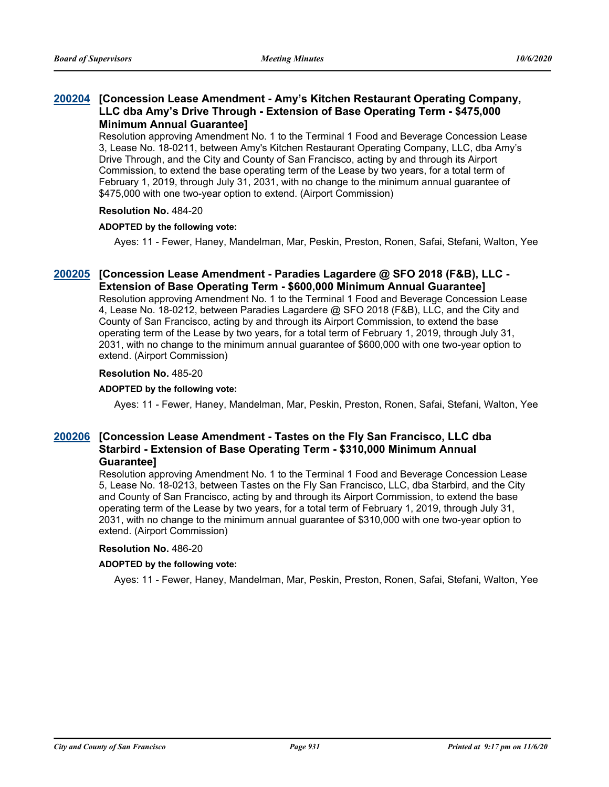### **[Concession Lease Amendment - Amy's Kitchen Restaurant Operating Company, [200204](http://sfgov.legistar.com/gateway.aspx?m=l&id=35640) LLC dba Amy's Drive Through - Extension of Base Operating Term - \$475,000 Minimum Annual Guarantee]**

Resolution approving Amendment No. 1 to the Terminal 1 Food and Beverage Concession Lease 3, Lease No. 18-0211, between Amy's Kitchen Restaurant Operating Company, LLC, dba Amy's Drive Through, and the City and County of San Francisco, acting by and through its Airport Commission, to extend the base operating term of the Lease by two years, for a total term of February 1, 2019, through July 31, 2031, with no change to the minimum annual guarantee of \$475,000 with one two-year option to extend. (Airport Commission)

#### **Resolution No.** 484-20

#### **ADOPTED by the following vote:**

Ayes: 11 - Fewer, Haney, Mandelman, Mar, Peskin, Preston, Ronen, Safai, Stefani, Walton, Yee

# **[Concession Lease Amendment - Paradies Lagardere @ SFO 2018 (F&B), LLC - [200205](http://sfgov.legistar.com/gateway.aspx?m=l&id=35641) Extension of Base Operating Term - \$600,000 Minimum Annual Guarantee]**

Resolution approving Amendment No. 1 to the Terminal 1 Food and Beverage Concession Lease 4, Lease No. 18-0212, between Paradies Lagardere @ SFO 2018 (F&B), LLC, and the City and County of San Francisco, acting by and through its Airport Commission, to extend the base operating term of the Lease by two years, for a total term of February 1, 2019, through July 31, 2031, with no change to the minimum annual guarantee of \$600,000 with one two-year option to extend. (Airport Commission)

#### **Resolution No.** 485-20

#### **ADOPTED by the following vote:**

Ayes: 11 - Fewer, Haney, Mandelman, Mar, Peskin, Preston, Ronen, Safai, Stefani, Walton, Yee

### **[Concession Lease Amendment - Tastes on the Fly San Francisco, LLC dba [200206](http://sfgov.legistar.com/gateway.aspx?m=l&id=35642) Starbird - Extension of Base Operating Term - \$310,000 Minimum Annual Guarantee]**

Resolution approving Amendment No. 1 to the Terminal 1 Food and Beverage Concession Lease 5, Lease No. 18-0213, between Tastes on the Fly San Francisco, LLC, dba Starbird, and the City and County of San Francisco, acting by and through its Airport Commission, to extend the base operating term of the Lease by two years, for a total term of February 1, 2019, through July 31, 2031, with no change to the minimum annual guarantee of \$310,000 with one two-year option to extend. (Airport Commission)

#### **Resolution No.** 486-20

#### **ADOPTED by the following vote:**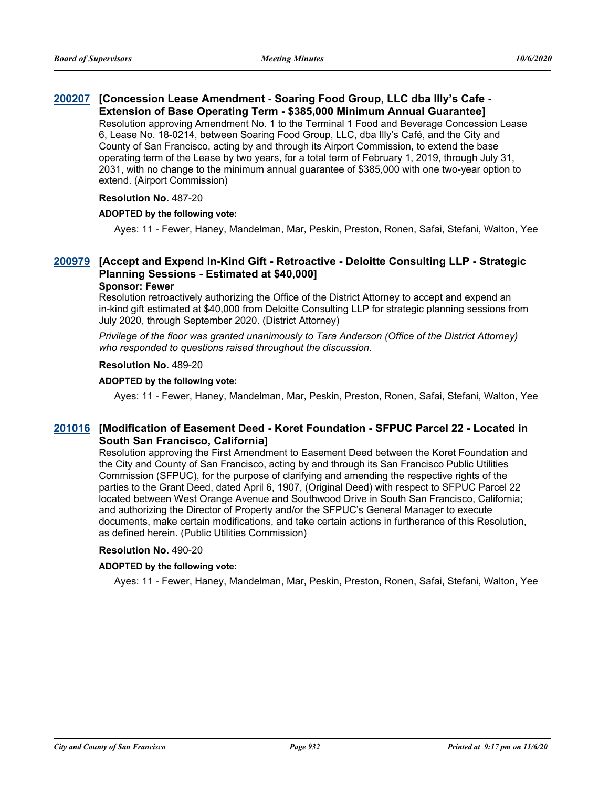# **[Concession Lease Amendment - Soaring Food Group, LLC dba Illy's Cafe - [200207](http://sfgov.legistar.com/gateway.aspx?m=l&id=35643) Extension of Base Operating Term - \$385,000 Minimum Annual Guarantee]**

Resolution approving Amendment No. 1 to the Terminal 1 Food and Beverage Concession Lease 6, Lease No. 18-0214, between Soaring Food Group, LLC, dba Illy's Café, and the City and County of San Francisco, acting by and through its Airport Commission, to extend the base operating term of the Lease by two years, for a total term of February 1, 2019, through July 31, 2031, with no change to the minimum annual guarantee of \$385,000 with one two-year option to extend. (Airport Commission)

#### **Resolution No.** 487-20

#### **ADOPTED by the following vote:**

Ayes: 11 - Fewer, Haney, Mandelman, Mar, Peskin, Preston, Ronen, Safai, Stefani, Walton, Yee

# **[Accept and Expend In-Kind Gift - Retroactive - Deloitte Consulting LLP - Strategic [200979](http://sfgov.legistar.com/gateway.aspx?m=l&id=36415) Planning Sessions - Estimated at \$40,000]**

#### **Sponsor: Fewer**

Resolution retroactively authorizing the Office of the District Attorney to accept and expend an in-kind gift estimated at \$40,000 from Deloitte Consulting LLP for strategic planning sessions from July 2020, through September 2020. (District Attorney)

*Privilege of the floor was granted unanimously to Tara Anderson (Office of the District Attorney) who responded to questions raised throughout the discussion.*

#### **Resolution No.** 489-20

#### **ADOPTED by the following vote:**

Ayes: 11 - Fewer, Haney, Mandelman, Mar, Peskin, Preston, Ronen, Safai, Stefani, Walton, Yee

### **[Modification of Easement Deed - Koret Foundation - SFPUC Parcel 22 - Located in [201016](http://sfgov.legistar.com/gateway.aspx?m=l&id=36452) South San Francisco, California]**

Resolution approving the First Amendment to Easement Deed between the Koret Foundation and the City and County of San Francisco, acting by and through its San Francisco Public Utilities Commission (SFPUC), for the purpose of clarifying and amending the respective rights of the parties to the Grant Deed, dated April 6, 1907, (Original Deed) with respect to SFPUC Parcel 22 located between West Orange Avenue and Southwood Drive in South San Francisco, California; and authorizing the Director of Property and/or the SFPUC's General Manager to execute documents, make certain modifications, and take certain actions in furtherance of this Resolution, as defined herein. (Public Utilities Commission)

#### **Resolution No.** 490-20

#### **ADOPTED by the following vote:**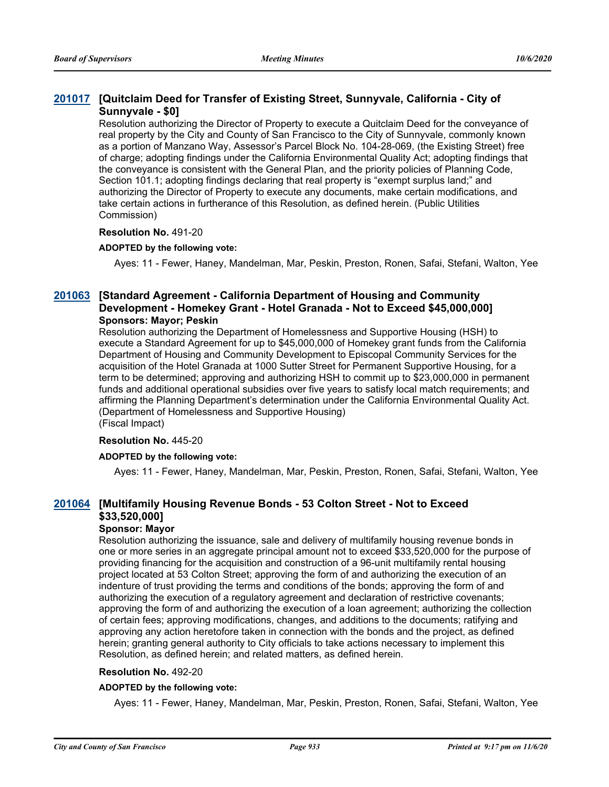# **[Quitclaim Deed for Transfer of Existing Street, Sunnyvale, California - City of [201017](http://sfgov.legistar.com/gateway.aspx?m=l&id=36453) Sunnyvale - \$0]**

Resolution authorizing the Director of Property to execute a Quitclaim Deed for the conveyance of real property by the City and County of San Francisco to the City of Sunnyvale, commonly known as a portion of Manzano Way, Assessor's Parcel Block No. 104-28-069, (the Existing Street) free of charge; adopting findings under the California Environmental Quality Act; adopting findings that the conveyance is consistent with the General Plan, and the priority policies of Planning Code, Section 101.1; adopting findings declaring that real property is "exempt surplus land;" and authorizing the Director of Property to execute any documents, make certain modifications, and take certain actions in furtherance of this Resolution, as defined herein. (Public Utilities Commission)

#### **Resolution No.** 491-20

#### **ADOPTED by the following vote:**

Ayes: 11 - Fewer, Haney, Mandelman, Mar, Peskin, Preston, Ronen, Safai, Stefani, Walton, Yee

#### **[Standard Agreement - California Department of Housing and Community [201063](http://sfgov.legistar.com/gateway.aspx?m=l&id=36499) Development - Homekey Grant - Hotel Granada - Not to Exceed \$45,000,000] Sponsors: Mayor; Peskin**

Resolution authorizing the Department of Homelessness and Supportive Housing (HSH) to execute a Standard Agreement for up to \$45,000,000 of Homekey grant funds from the California Department of Housing and Community Development to Episcopal Community Services for the acquisition of the Hotel Granada at 1000 Sutter Street for Permanent Supportive Housing, for a term to be determined; approving and authorizing HSH to commit up to \$23,000,000 in permanent funds and additional operational subsidies over five years to satisfy local match requirements; and affirming the Planning Department's determination under the California Environmental Quality Act. (Department of Homelessness and Supportive Housing) (Fiscal Impact)

# **Resolution No.** 445-20

# **ADOPTED by the following vote:**

Ayes: 11 - Fewer, Haney, Mandelman, Mar, Peskin, Preston, Ronen, Safai, Stefani, Walton, Yee

# **[Multifamily Housing Revenue Bonds - 53 Colton Street - Not to Exceed [201064](http://sfgov.legistar.com/gateway.aspx?m=l&id=36500) \$33,520,000]**

#### **Sponsor: Mayor**

Resolution authorizing the issuance, sale and delivery of multifamily housing revenue bonds in one or more series in an aggregate principal amount not to exceed \$33,520,000 for the purpose of providing financing for the acquisition and construction of a 96-unit multifamily rental housing project located at 53 Colton Street; approving the form of and authorizing the execution of an indenture of trust providing the terms and conditions of the bonds; approving the form of and authorizing the execution of a regulatory agreement and declaration of restrictive covenants; approving the form of and authorizing the execution of a loan agreement; authorizing the collection of certain fees; approving modifications, changes, and additions to the documents; ratifying and approving any action heretofore taken in connection with the bonds and the project, as defined herein; granting general authority to City officials to take actions necessary to implement this Resolution, as defined herein; and related matters, as defined herein.

#### **Resolution No.** 492-20

#### **ADOPTED by the following vote:**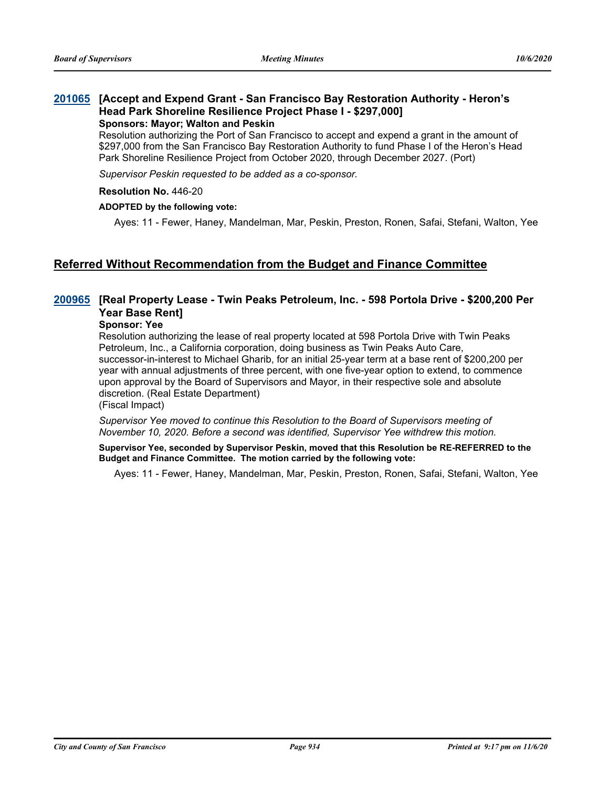#### **[Accept and Expend Grant - San Francisco Bay Restoration Authority - Heron's [201065](http://sfgov.legistar.com/gateway.aspx?m=l&id=36501) Head Park Shoreline Resilience Project Phase I - \$297,000] Sponsors: Mayor; Walton and Peskin**

Resolution authorizing the Port of San Francisco to accept and expend a grant in the amount of \$297,000 from the San Francisco Bay Restoration Authority to fund Phase I of the Heron's Head Park Shoreline Resilience Project from October 2020, through December 2027. (Port)

*Supervisor Peskin requested to be added as a co-sponsor.*

#### **Resolution No.** 446-20

#### **ADOPTED by the following vote:**

Ayes: 11 - Fewer, Haney, Mandelman, Mar, Peskin, Preston, Ronen, Safai, Stefani, Walton, Yee

# **Referred Without Recommendation from the Budget and Finance Committee**

# **[Real Property Lease - Twin Peaks Petroleum, Inc. - 598 Portola Drive - \$200,200 Per [200965](http://sfgov.legistar.com/gateway.aspx?m=l&id=36401) Year Base Rent]**

#### **Sponsor: Yee**

Resolution authorizing the lease of real property located at 598 Portola Drive with Twin Peaks Petroleum, Inc., a California corporation, doing business as Twin Peaks Auto Care, successor-in-interest to Michael Gharib, for an initial 25-year term at a base rent of \$200,200 per year with annual adjustments of three percent, with one five-year option to extend, to commence upon approval by the Board of Supervisors and Mayor, in their respective sole and absolute discretion. (Real Estate Department)

(Fiscal Impact)

*Supervisor Yee moved to continue this Resolution to the Board of Supervisors meeting of November 10, 2020. Before a second was identified, Supervisor Yee withdrew this motion.*

**Supervisor Yee, seconded by Supervisor Peskin, moved that this Resolution be RE-REFERRED to the Budget and Finance Committee. The motion carried by the following vote:**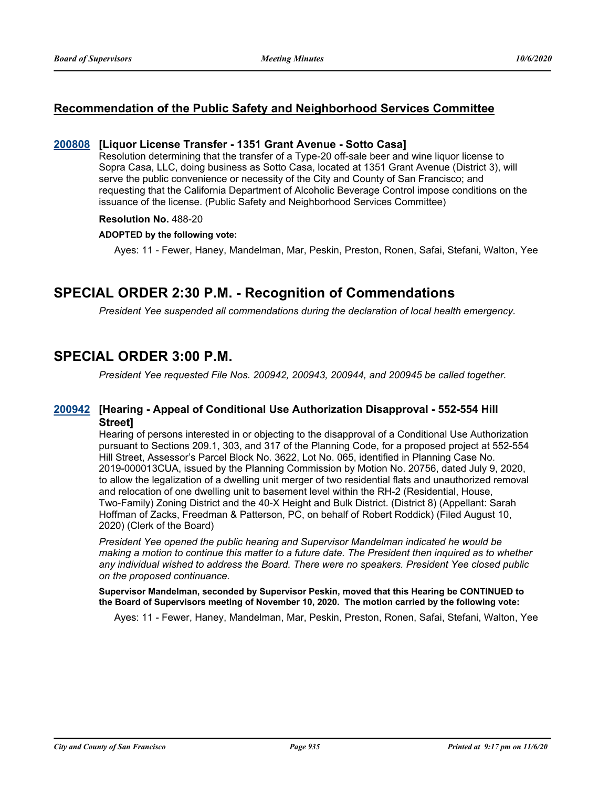# **Recommendation of the Public Safety and Neighborhood Services Committee**

#### **[200808](http://sfgov.legistar.com/gateway.aspx?m=l&id=36244) [Liquor License Transfer - 1351 Grant Avenue - Sotto Casa]**

Resolution determining that the transfer of a Type-20 off-sale beer and wine liquor license to Sopra Casa, LLC, doing business as Sotto Casa, located at 1351 Grant Avenue (District 3), will serve the public convenience or necessity of the City and County of San Francisco; and requesting that the California Department of Alcoholic Beverage Control impose conditions on the issuance of the license. (Public Safety and Neighborhood Services Committee)

#### **Resolution No.** 488-20

#### **ADOPTED by the following vote:**

Ayes: 11 - Fewer, Haney, Mandelman, Mar, Peskin, Preston, Ronen, Safai, Stefani, Walton, Yee

# **SPECIAL ORDER 2:30 P.M. - Recognition of Commendations**

*President Yee suspended all commendations during the declaration of local health emergency.*

# **SPECIAL ORDER 3:00 P.M.**

*President Yee requested File Nos. 200942, 200943, 200944, and 200945 be called together.*

### **[Hearing - Appeal of Conditional Use Authorization Disapproval - 552-554 Hill [200942](http://sfgov.legistar.com/gateway.aspx?m=l&id=36378) Street]**

Hearing of persons interested in or objecting to the disapproval of a Conditional Use Authorization pursuant to Sections 209.1, 303, and 317 of the Planning Code, for a proposed project at 552-554 Hill Street, Assessor's Parcel Block No. 3622, Lot No. 065, identified in Planning Case No. 2019-000013CUA, issued by the Planning Commission by Motion No. 20756, dated July 9, 2020, to allow the legalization of a dwelling unit merger of two residential flats and unauthorized removal and relocation of one dwelling unit to basement level within the RH-2 (Residential, House, Two-Family) Zoning District and the 40-X Height and Bulk District. (District 8) (Appellant: Sarah Hoffman of Zacks, Freedman & Patterson, PC, on behalf of Robert Roddick) (Filed August 10, 2020) (Clerk of the Board)

*President Yee opened the public hearing and Supervisor Mandelman indicated he would be making a motion to continue this matter to a future date. The President then inquired as to whether any individual wished to address the Board. There were no speakers. President Yee closed public on the proposed continuance.*

**Supervisor Mandelman, seconded by Supervisor Peskin, moved that this Hearing be CONTINUED to the Board of Supervisors meeting of November 10, 2020. The motion carried by the following vote:**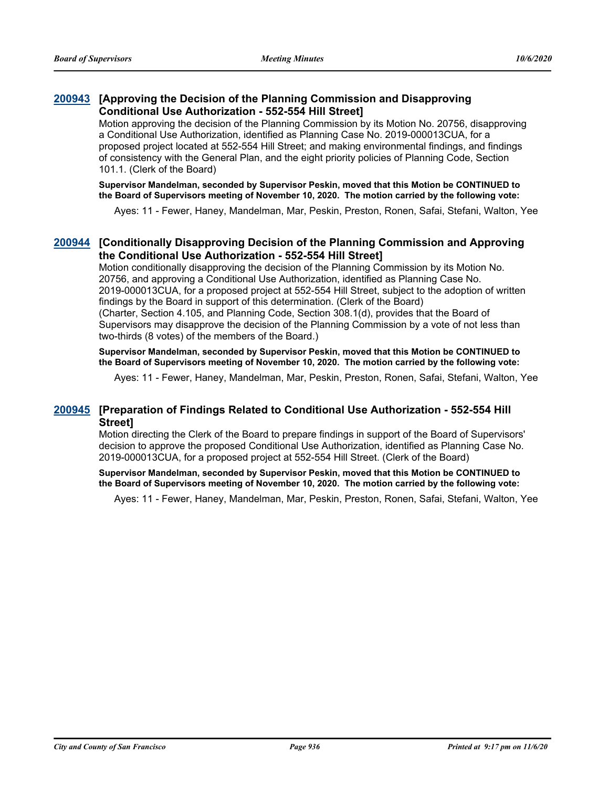# **[Approving the Decision of the Planning Commission and Disapproving [200943](http://sfgov.legistar.com/gateway.aspx?m=l&id=36379) Conditional Use Authorization - 552-554 Hill Street]**

Motion approving the decision of the Planning Commission by its Motion No. 20756, disapproving a Conditional Use Authorization, identified as Planning Case No. 2019-000013CUA, for a proposed project located at 552-554 Hill Street; and making environmental findings, and findings of consistency with the General Plan, and the eight priority policies of Planning Code, Section 101.1. (Clerk of the Board)

**Supervisor Mandelman, seconded by Supervisor Peskin, moved that this Motion be CONTINUED to the Board of Supervisors meeting of November 10, 2020. The motion carried by the following vote:**

Ayes: 11 - Fewer, Haney, Mandelman, Mar, Peskin, Preston, Ronen, Safai, Stefani, Walton, Yee

# **[Conditionally Disapproving Decision of the Planning Commission and Approving [200944](http://sfgov.legistar.com/gateway.aspx?m=l&id=36380) the Conditional Use Authorization - 552-554 Hill Street]**

Motion conditionally disapproving the decision of the Planning Commission by its Motion No. 20756, and approving a Conditional Use Authorization, identified as Planning Case No. 2019-000013CUA, for a proposed project at 552-554 Hill Street, subject to the adoption of written findings by the Board in support of this determination. (Clerk of the Board) (Charter, Section 4.105, and Planning Code, Section 308.1(d), provides that the Board of Supervisors may disapprove the decision of the Planning Commission by a vote of not less than two-thirds (8 votes) of the members of the Board.)

**Supervisor Mandelman, seconded by Supervisor Peskin, moved that this Motion be CONTINUED to the Board of Supervisors meeting of November 10, 2020. The motion carried by the following vote:**

Ayes: 11 - Fewer, Haney, Mandelman, Mar, Peskin, Preston, Ronen, Safai, Stefani, Walton, Yee

### **[Preparation of Findings Related to Conditional Use Authorization - 552-554 Hill [200945](http://sfgov.legistar.com/gateway.aspx?m=l&id=36381) Street]**

Motion directing the Clerk of the Board to prepare findings in support of the Board of Supervisors' decision to approve the proposed Conditional Use Authorization, identified as Planning Case No. 2019-000013CUA, for a proposed project at 552-554 Hill Street. (Clerk of the Board)

**Supervisor Mandelman, seconded by Supervisor Peskin, moved that this Motion be CONTINUED to the Board of Supervisors meeting of November 10, 2020. The motion carried by the following vote:**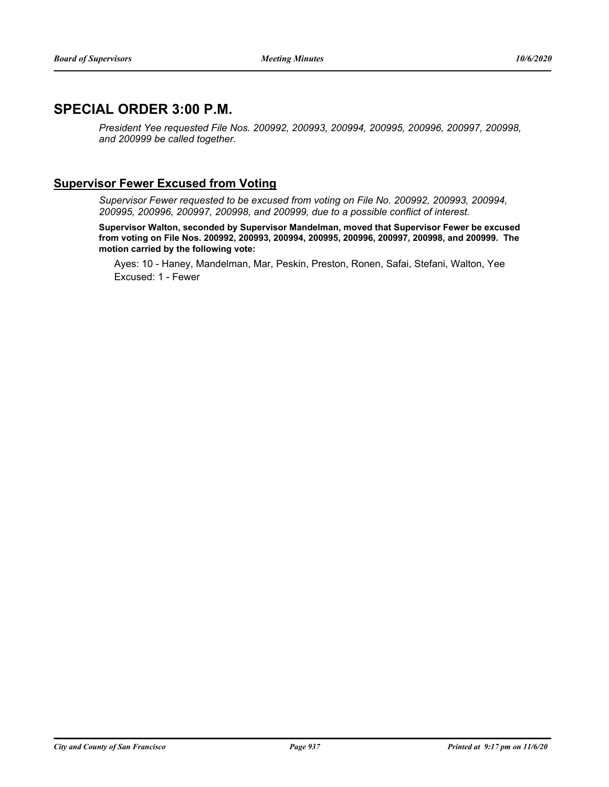# **SPECIAL ORDER 3:00 P.M.**

*President Yee requested File Nos. 200992, 200993, 200994, 200995, 200996, 200997, 200998, and 200999 be called together.*

# **Supervisor Fewer Excused from Voting**

*Supervisor Fewer requested to be excused from voting on File No. 200992, 200993, 200994, 200995, 200996, 200997, 200998, and 200999, due to a possible conflict of interest.*

**Supervisor Walton, seconded by Supervisor Mandelman, moved that Supervisor Fewer be excused from voting on File Nos. 200992, 200993, 200994, 200995, 200996, 200997, 200998, and 200999. The motion carried by the following vote:**

Ayes: 10 - Haney, Mandelman, Mar, Peskin, Preston, Ronen, Safai, Stefani, Walton, Yee Excused: 1 - Fewer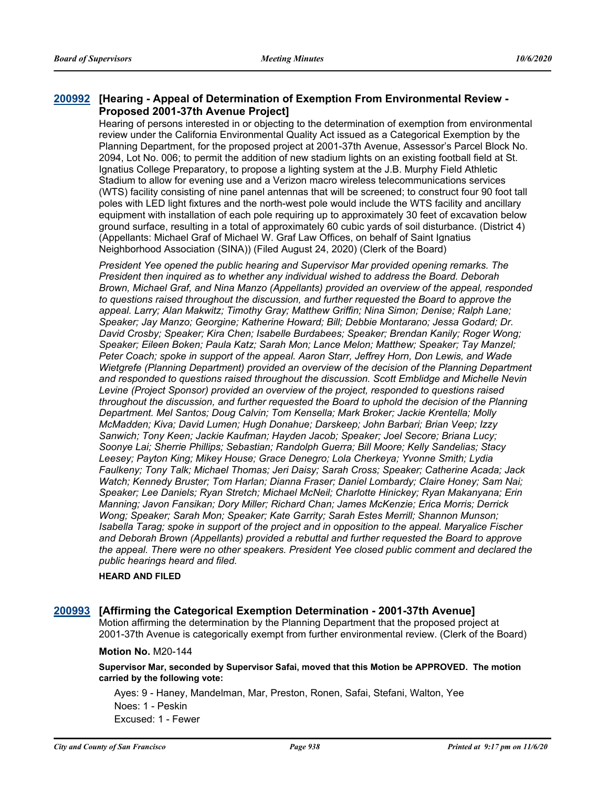### **[Hearing - Appeal of Determination of Exemption From Environmental Review - [200992](http://sfgov.legistar.com/gateway.aspx?m=l&id=36428) Proposed 2001-37th Avenue Project]**

Hearing of persons interested in or objecting to the determination of exemption from environmental review under the California Environmental Quality Act issued as a Categorical Exemption by the Planning Department, for the proposed project at 2001-37th Avenue, Assessor's Parcel Block No. 2094, Lot No. 006; to permit the addition of new stadium lights on an existing football field at St. Ignatius College Preparatory, to propose a lighting system at the J.B. Murphy Field Athletic Stadium to allow for evening use and a Verizon macro wireless telecommunications services (WTS) facility consisting of nine panel antennas that will be screened; to construct four 90 foot tall poles with LED light fixtures and the north-west pole would include the WTS facility and ancillary equipment with installation of each pole requiring up to approximately 30 feet of excavation below ground surface, resulting in a total of approximately 60 cubic yards of soil disturbance. (District 4) (Appellants: Michael Graf of Michael W. Graf Law Offices, on behalf of Saint Ignatius Neighborhood Association (SINA)) (Filed August 24, 2020) (Clerk of the Board)

*President Yee opened the public hearing and Supervisor Mar provided opening remarks. The President then inquired as to whether any individual wished to address the Board. Deborah Brown, Michael Graf, and Nina Manzo (Appellants) provided an overview of the appeal, responded to questions raised throughout the discussion, and further requested the Board to approve the appeal. Larry; Alan Makwitz; Timothy Gray; Matthew Griffin; Nina Simon; Denise; Ralph Lane; Speaker; Jay Manzo; Georgine; Katherine Howard; Bill; Debbie Montarano; Jessa Godard; Dr. David Crosby; Speaker; Kira Chen; Isabelle Burdabees; Speaker; Brendan Kanily; Roger Wong; Speaker; Eileen Boken; Paula Katz; Sarah Mon; Lance Melon; Matthew; Speaker; Tay Manzel; Peter Coach; spoke in support of the appeal. Aaron Starr, Jeffrey Horn, Don Lewis, and Wade Wietgrefe (Planning Department) provided an overview of the decision of the Planning Department and responded to questions raised throughout the discussion. Scott Emblidge and Michelle Nevin Levine (Project Sponsor) provided an overview of the project, responded to questions raised throughout the discussion, and further requested the Board to uphold the decision of the Planning Department. Mel Santos; Doug Calvin; Tom Kensella; Mark Broker; Jackie Krentella; Molly McMadden; Kiva; David Lumen; Hugh Donahue; Darskeep; John Barbari; Brian Veep; Izzy Sanwich; Tony Keen; Jackie Kaufman; Hayden Jacob; Speaker; Joel Secore; Briana Lucy; Soonye Lai; Sherrie Phillips; Sebastian; Randolph Guerra; Bill Moore; Kelly Sandelias; Stacy Leesey; Payton King; Mikey House; Grace Denegro; Lola Cherkeya; Yvonne Smith; Lydia Faulkeny; Tony Talk; Michael Thomas; Jeri Daisy; Sarah Cross; Speaker; Catherine Acada; Jack Watch; Kennedy Bruster; Tom Harlan; Dianna Fraser; Daniel Lombardy; Claire Honey; Sam Nai; Speaker; Lee Daniels; Ryan Stretch; Michael McNeil; Charlotte Hinickey; Ryan Makanyana; Erin Manning; Javon Fansikan; Dory Miller; Richard Chan; James McKenzie; Erica Morris; Derrick Wong; Speaker; Sarah Mon; Speaker; Kate Garrity; Sarah Estes Merrill; Shannon Munson; Isabella Tarag; spoke in support of the project and in opposition to the appeal. Maryalice Fischer and Deborah Brown (Appellants) provided a rebuttal and further requested the Board to approve the appeal. There were no other speakers. President Yee closed public comment and declared the public hearings heard and filed.*

#### **HEARD AND FILED**

#### **[200993](http://sfgov.legistar.com/gateway.aspx?m=l&id=36429) [Affirming the Categorical Exemption Determination - 2001-37th Avenue]**

Motion affirming the determination by the Planning Department that the proposed project at 2001-37th Avenue is categorically exempt from further environmental review. (Clerk of the Board)

#### **Motion No.** M20-144

**Supervisor Mar, seconded by Supervisor Safai, moved that this Motion be APPROVED. The motion carried by the following vote:**

Ayes: 9 - Haney, Mandelman, Mar, Preston, Ronen, Safai, Stefani, Walton, Yee Noes: 1 - Peskin Excused: 1 - Fewer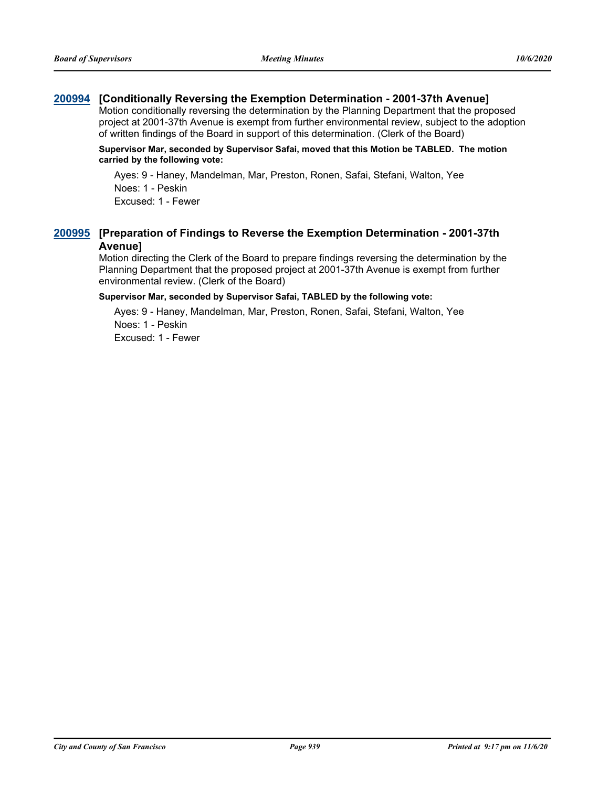# **[200994](http://sfgov.legistar.com/gateway.aspx?m=l&id=36430) [Conditionally Reversing the Exemption Determination - 2001-37th Avenue]**

Motion conditionally reversing the determination by the Planning Department that the proposed project at 2001-37th Avenue is exempt from further environmental review, subject to the adoption of written findings of the Board in support of this determination. (Clerk of the Board)

#### **Supervisor Mar, seconded by Supervisor Safai, moved that this Motion be TABLED. The motion carried by the following vote:**

Ayes: 9 - Haney, Mandelman, Mar, Preston, Ronen, Safai, Stefani, Walton, Yee Noes: 1 - Peskin

Excused: 1 - Fewer

# **[Preparation of Findings to Reverse the Exemption Determination - 2001-37th [200995](http://sfgov.legistar.com/gateway.aspx?m=l&id=36431) Avenue]**

Motion directing the Clerk of the Board to prepare findings reversing the determination by the Planning Department that the proposed project at 2001-37th Avenue is exempt from further environmental review. (Clerk of the Board)

#### **Supervisor Mar, seconded by Supervisor Safai, TABLED by the following vote:**

Ayes: 9 - Haney, Mandelman, Mar, Preston, Ronen, Safai, Stefani, Walton, Yee Noes: 1 - Peskin Excused: 1 - Fewer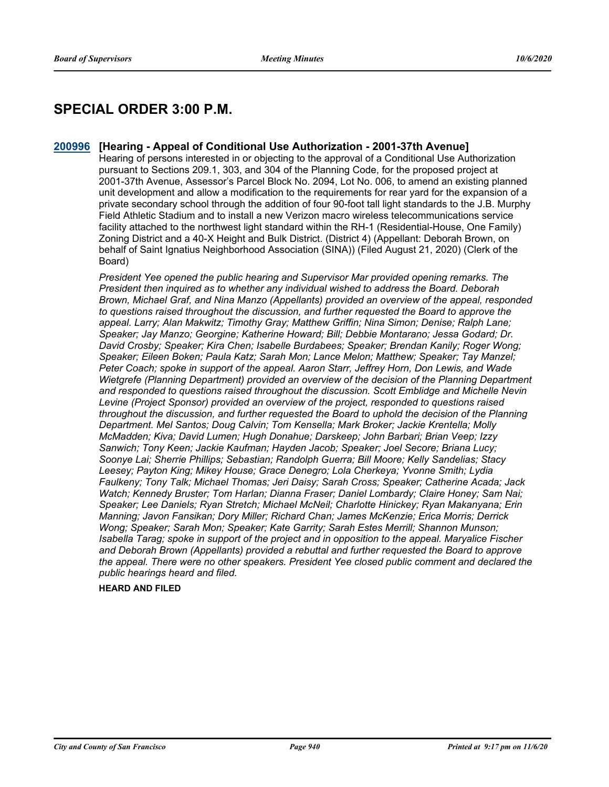# **SPECIAL ORDER 3:00 P.M.**

**[200996](http://sfgov.legistar.com/gateway.aspx?m=l&id=36432) [Hearing - Appeal of Conditional Use Authorization - 2001-37th Avenue]** Hearing of persons interested in or objecting to the approval of a Conditional Use Authorization pursuant to Sections 209.1, 303, and 304 of the Planning Code, for the proposed project at 2001-37th Avenue, Assessor's Parcel Block No. 2094, Lot No. 006, to amend an existing planned unit development and allow a modification to the requirements for rear yard for the expansion of a private secondary school through the addition of four 90-foot tall light standards to the J.B. Murphy

Field Athletic Stadium and to install a new Verizon macro wireless telecommunications service facility attached to the northwest light standard within the RH-1 (Residential-House, One Family) Zoning District and a 40-X Height and Bulk District. (District 4) (Appellant: Deborah Brown, on behalf of Saint Ignatius Neighborhood Association (SINA)) (Filed August 21, 2020) (Clerk of the Board)

*President Yee opened the public hearing and Supervisor Mar provided opening remarks. The President then inquired as to whether any individual wished to address the Board. Deborah Brown, Michael Graf, and Nina Manzo (Appellants) provided an overview of the appeal, responded to questions raised throughout the discussion, and further requested the Board to approve the appeal. Larry; Alan Makwitz; Timothy Gray; Matthew Griffin; Nina Simon; Denise; Ralph Lane; Speaker; Jay Manzo; Georgine; Katherine Howard; Bill; Debbie Montarano; Jessa Godard; Dr. David Crosby; Speaker; Kira Chen; Isabelle Burdabees; Speaker; Brendan Kanily; Roger Wong; Speaker; Eileen Boken; Paula Katz; Sarah Mon; Lance Melon; Matthew; Speaker; Tay Manzel; Peter Coach; spoke in support of the appeal. Aaron Starr, Jeffrey Horn, Don Lewis, and Wade Wietgrefe (Planning Department) provided an overview of the decision of the Planning Department and responded to questions raised throughout the discussion. Scott Emblidge and Michelle Nevin Levine (Project Sponsor) provided an overview of the project, responded to questions raised throughout the discussion, and further requested the Board to uphold the decision of the Planning Department. Mel Santos; Doug Calvin; Tom Kensella; Mark Broker; Jackie Krentella; Molly McMadden; Kiva; David Lumen; Hugh Donahue; Darskeep; John Barbari; Brian Veep; Izzy Sanwich; Tony Keen; Jackie Kaufman; Hayden Jacob; Speaker; Joel Secore; Briana Lucy; Soonye Lai; Sherrie Phillips; Sebastian; Randolph Guerra; Bill Moore; Kelly Sandelias; Stacy Leesey; Payton King; Mikey House; Grace Denegro; Lola Cherkeya; Yvonne Smith; Lydia Faulkeny; Tony Talk; Michael Thomas; Jeri Daisy; Sarah Cross; Speaker; Catherine Acada; Jack Watch; Kennedy Bruster; Tom Harlan; Dianna Fraser; Daniel Lombardy; Claire Honey; Sam Nai; Speaker; Lee Daniels; Ryan Stretch; Michael McNeil; Charlotte Hinickey; Ryan Makanyana; Erin Manning; Javon Fansikan; Dory Miller; Richard Chan; James McKenzie; Erica Morris; Derrick Wong; Speaker; Sarah Mon; Speaker; Kate Garrity; Sarah Estes Merrill; Shannon Munson; Isabella Tarag; spoke in support of the project and in opposition to the appeal. Maryalice Fischer and Deborah Brown (Appellants) provided a rebuttal and further requested the Board to approve the appeal. There were no other speakers. President Yee closed public comment and declared the public hearings heard and filed.*

#### **HEARD AND FILED**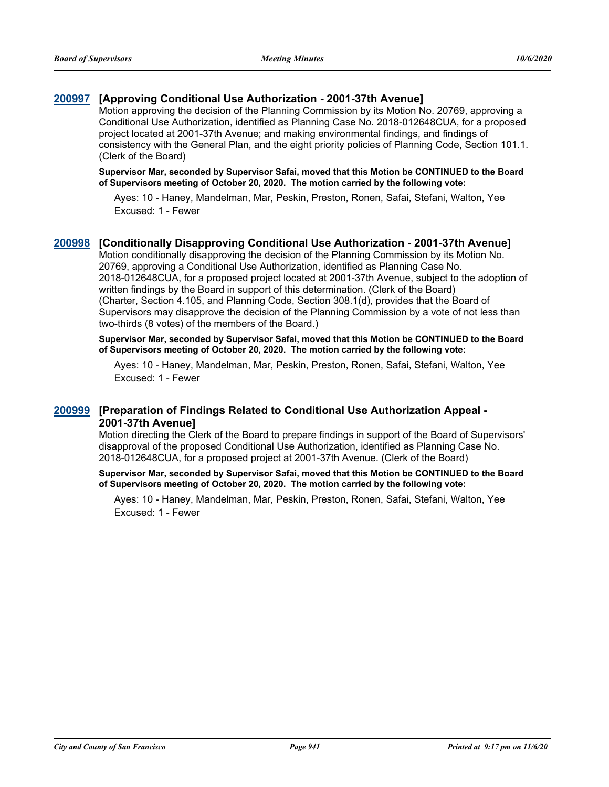# **[200997](http://sfgov.legistar.com/gateway.aspx?m=l&id=36433) [Approving Conditional Use Authorization - 2001-37th Avenue]**

Motion approving the decision of the Planning Commission by its Motion No. 20769, approving a Conditional Use Authorization, identified as Planning Case No. 2018-012648CUA, for a proposed project located at 2001-37th Avenue; and making environmental findings, and findings of consistency with the General Plan, and the eight priority policies of Planning Code, Section 101.1. (Clerk of the Board)

**Supervisor Mar, seconded by Supervisor Safai, moved that this Motion be CONTINUED to the Board of Supervisors meeting of October 20, 2020. The motion carried by the following vote:**

Ayes: 10 - Haney, Mandelman, Mar, Peskin, Preston, Ronen, Safai, Stefani, Walton, Yee Excused: 1 - Fewer

### **[200998](http://sfgov.legistar.com/gateway.aspx?m=l&id=36434) [Conditionally Disapproving Conditional Use Authorization - 2001-37th Avenue]**

Motion conditionally disapproving the decision of the Planning Commission by its Motion No. 20769, approving a Conditional Use Authorization, identified as Planning Case No. 2018-012648CUA, for a proposed project located at 2001-37th Avenue, subject to the adoption of written findings by the Board in support of this determination. (Clerk of the Board) (Charter, Section 4.105, and Planning Code, Section 308.1(d), provides that the Board of Supervisors may disapprove the decision of the Planning Commission by a vote of not less than two-thirds (8 votes) of the members of the Board.)

**Supervisor Mar, seconded by Supervisor Safai, moved that this Motion be CONTINUED to the Board of Supervisors meeting of October 20, 2020. The motion carried by the following vote:**

Ayes: 10 - Haney, Mandelman, Mar, Peskin, Preston, Ronen, Safai, Stefani, Walton, Yee Excused: 1 - Fewer

### **[Preparation of Findings Related to Conditional Use Authorization Appeal - [200999](http://sfgov.legistar.com/gateway.aspx?m=l&id=36435) 2001-37th Avenue]**

Motion directing the Clerk of the Board to prepare findings in support of the Board of Supervisors' disapproval of the proposed Conditional Use Authorization, identified as Planning Case No. 2018-012648CUA, for a proposed project at 2001-37th Avenue. (Clerk of the Board)

**Supervisor Mar, seconded by Supervisor Safai, moved that this Motion be CONTINUED to the Board of Supervisors meeting of October 20, 2020. The motion carried by the following vote:**

Ayes: 10 - Haney, Mandelman, Mar, Peskin, Preston, Ronen, Safai, Stefani, Walton, Yee Excused: 1 - Fewer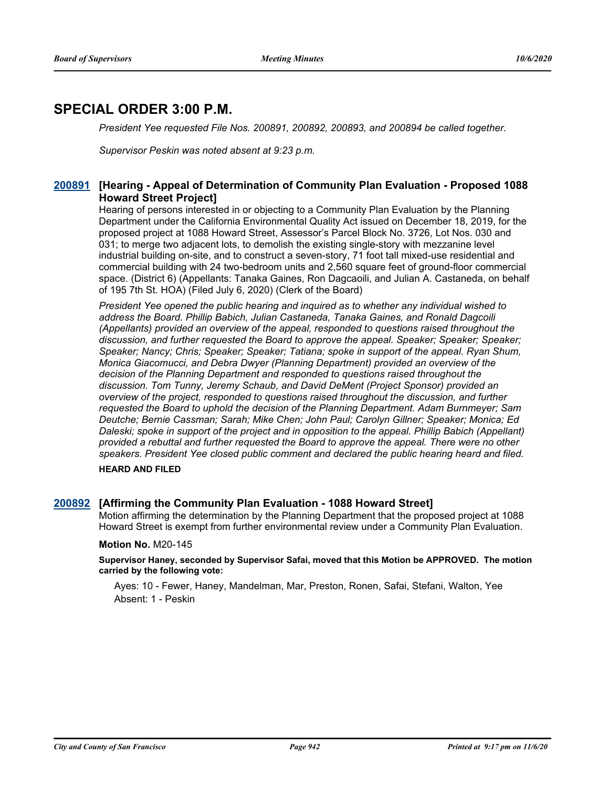# **SPECIAL ORDER 3:00 P.M.**

*President Yee requested File Nos. 200891, 200892, 200893, and 200894 be called together.*

*Supervisor Peskin was noted absent at 9:23 p.m.*

# **[Hearing - Appeal of Determination of Community Plan Evaluation - Proposed 1088 [200891](http://sfgov.legistar.com/gateway.aspx?m=l&id=36327) Howard Street Project]**

Hearing of persons interested in or objecting to a Community Plan Evaluation by the Planning Department under the California Environmental Quality Act issued on December 18, 2019, for the proposed project at 1088 Howard Street, Assessor's Parcel Block No. 3726, Lot Nos. 030 and 031; to merge two adjacent lots, to demolish the existing single-story with mezzanine level industrial building on-site, and to construct a seven-story, 71 foot tall mixed-use residential and commercial building with 24 two-bedroom units and 2,560 square feet of ground-floor commercial space. (District 6) (Appellants: Tanaka Gaines, Ron Dagcaoili, and Julian A. Castaneda, on behalf of 195 7th St. HOA) (Filed July 6, 2020) (Clerk of the Board)

*President Yee opened the public hearing and inquired as to whether any individual wished to address the Board. Phillip Babich, Julian Castaneda, Tanaka Gaines, and Ronald Dagcoili (Appellants) provided an overview of the appeal, responded to questions raised throughout the discussion, and further requested the Board to approve the appeal. Speaker; Speaker; Speaker; Speaker; Nancy; Chris; Speaker; Speaker; Tatiana; spoke in support of the appeal. Ryan Shum, Monica Giacomucci, and Debra Dwyer (Planning Department) provided an overview of the decision of the Planning Department and responded to questions raised throughout the discussion. Tom Tunny, Jeremy Schaub, and David DeMent (Project Sponsor) provided an overview of the project, responded to questions raised throughout the discussion, and further requested the Board to uphold the decision of the Planning Department. Adam Burnmeyer; Sam Deutche; Bernie Cassman; Sarah; Mike Chen; John Paul; Carolyn Gillner; Speaker; Monica; Ed*  Daleski; spoke in support of the project and in opposition to the appeal. Phillip Babich (Appellant) *provided a rebuttal and further requested the Board to approve the appeal. There were no other speakers. President Yee closed public comment and declared the public hearing heard and filed.*

#### **HEARD AND FILED**

#### **[200892](http://sfgov.legistar.com/gateway.aspx?m=l&id=36328) [Affirming the Community Plan Evaluation - 1088 Howard Street]**

Motion affirming the determination by the Planning Department that the proposed project at 1088 Howard Street is exempt from further environmental review under a Community Plan Evaluation.

#### **Motion No.** M20-145

**Supervisor Haney, seconded by Supervisor Safai, moved that this Motion be APPROVED. The motion carried by the following vote:**

Ayes: 10 - Fewer, Haney, Mandelman, Mar, Preston, Ronen, Safai, Stefani, Walton, Yee Absent: 1 - Peskin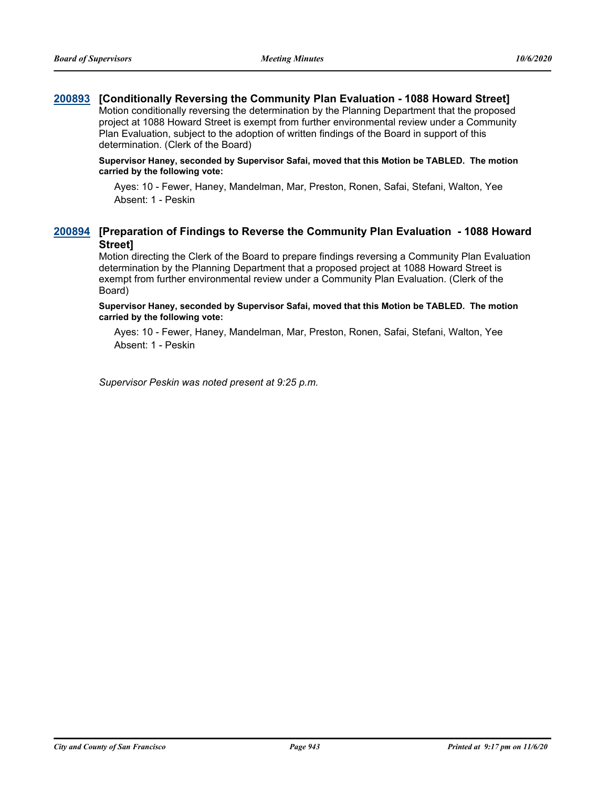# **[200893](http://sfgov.legistar.com/gateway.aspx?m=l&id=36329) [Conditionally Reversing the Community Plan Evaluation - 1088 Howard Street]**

Motion conditionally reversing the determination by the Planning Department that the proposed project at 1088 Howard Street is exempt from further environmental review under a Community Plan Evaluation, subject to the adoption of written findings of the Board in support of this determination. (Clerk of the Board)

#### **Supervisor Haney, seconded by Supervisor Safai, moved that this Motion be TABLED. The motion carried by the following vote:**

Ayes: 10 - Fewer, Haney, Mandelman, Mar, Preston, Ronen, Safai, Stefani, Walton, Yee Absent: 1 - Peskin

# **[Preparation of Findings to Reverse the Community Plan Evaluation - 1088 Howard [200894](http://sfgov.legistar.com/gateway.aspx?m=l&id=36330) Street]**

Motion directing the Clerk of the Board to prepare findings reversing a Community Plan Evaluation determination by the Planning Department that a proposed project at 1088 Howard Street is exempt from further environmental review under a Community Plan Evaluation. (Clerk of the Board)

**Supervisor Haney, seconded by Supervisor Safai, moved that this Motion be TABLED. The motion carried by the following vote:**

Ayes: 10 - Fewer, Haney, Mandelman, Mar, Preston, Ronen, Safai, Stefani, Walton, Yee Absent: 1 - Peskin

*Supervisor Peskin was noted present at 9:25 p.m.*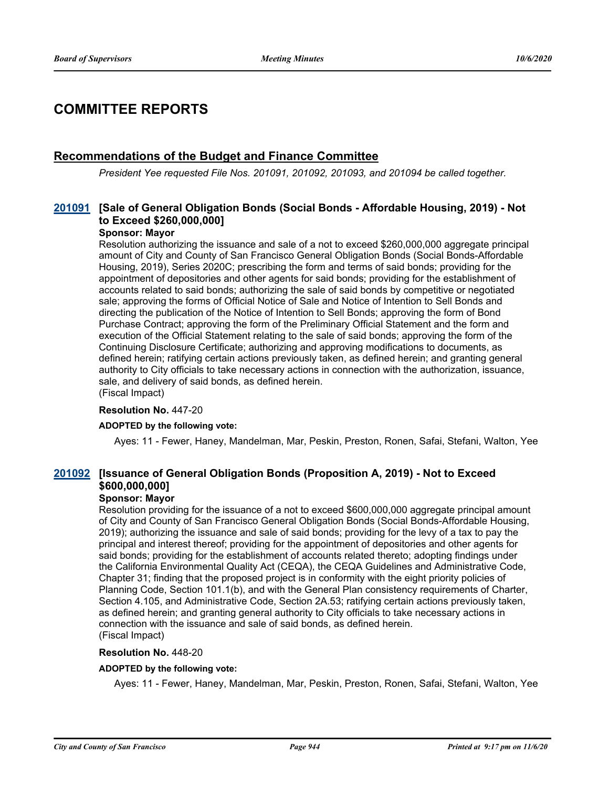# **COMMITTEE REPORTS**

# **Recommendations of the Budget and Finance Committee**

*President Yee requested File Nos. 201091, 201092, 201093, and 201094 be called together.*

# **[Sale of General Obligation Bonds (Social Bonds - Affordable Housing, 2019) - Not [201091](http://sfgov.legistar.com/gateway.aspx?m=l&id=36527) to Exceed \$260,000,000]**

#### **Sponsor: Mayor**

Resolution authorizing the issuance and sale of a not to exceed \$260,000,000 aggregate principal amount of City and County of San Francisco General Obligation Bonds (Social Bonds-Affordable Housing, 2019), Series 2020C; prescribing the form and terms of said bonds; providing for the appointment of depositories and other agents for said bonds; providing for the establishment of accounts related to said bonds; authorizing the sale of said bonds by competitive or negotiated sale; approving the forms of Official Notice of Sale and Notice of Intention to Sell Bonds and directing the publication of the Notice of Intention to Sell Bonds; approving the form of Bond Purchase Contract; approving the form of the Preliminary Official Statement and the form and execution of the Official Statement relating to the sale of said bonds; approving the form of the Continuing Disclosure Certificate; authorizing and approving modifications to documents, as defined herein; ratifying certain actions previously taken, as defined herein; and granting general authority to City officials to take necessary actions in connection with the authorization, issuance, sale, and delivery of said bonds, as defined herein. (Fiscal Impact)

# **Resolution No.** 447-20

### **ADOPTED by the following vote:**

Ayes: 11 - Fewer, Haney, Mandelman, Mar, Peskin, Preston, Ronen, Safai, Stefani, Walton, Yee

# **[Issuance of General Obligation Bonds (Proposition A, 2019) - Not to Exceed [201092](http://sfgov.legistar.com/gateway.aspx?m=l&id=36528) \$600,000,000]**

#### **Sponsor: Mayor**

Resolution providing for the issuance of a not to exceed \$600,000,000 aggregate principal amount of City and County of San Francisco General Obligation Bonds (Social Bonds-Affordable Housing, 2019); authorizing the issuance and sale of said bonds; providing for the levy of a tax to pay the principal and interest thereof; providing for the appointment of depositories and other agents for said bonds; providing for the establishment of accounts related thereto; adopting findings under the California Environmental Quality Act (CEQA), the CEQA Guidelines and Administrative Code, Chapter 31; finding that the proposed project is in conformity with the eight priority policies of Planning Code, Section 101.1(b), and with the General Plan consistency requirements of Charter, Section 4.105, and Administrative Code, Section 2A.53; ratifying certain actions previously taken, as defined herein; and granting general authority to City officials to take necessary actions in connection with the issuance and sale of said bonds, as defined herein. (Fiscal Impact)

#### **Resolution No.** 448-20

#### **ADOPTED by the following vote:**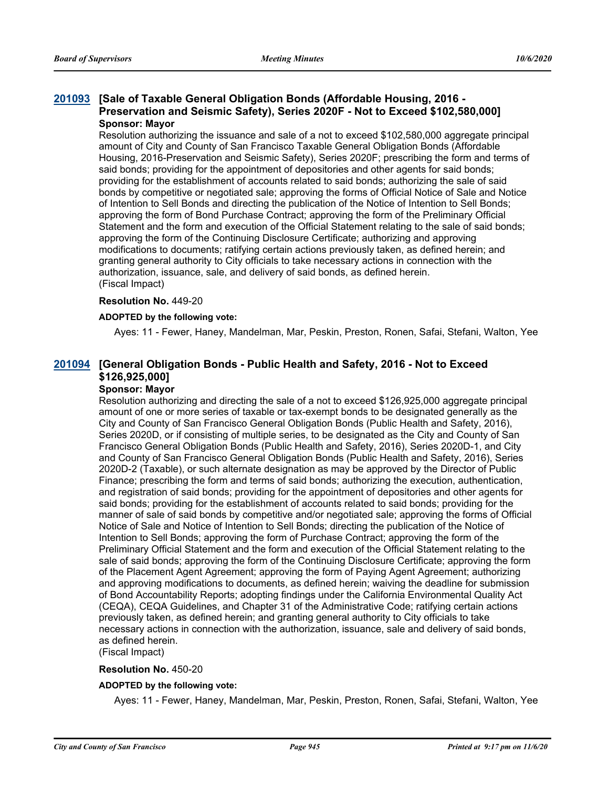### **[Sale of Taxable General Obligation Bonds (Affordable Housing, 2016 - [201093](http://sfgov.legistar.com/gateway.aspx?m=l&id=36529) Preservation and Seismic Safety), Series 2020F - Not to Exceed \$102,580,000] Sponsor: Mayor**

Resolution authorizing the issuance and sale of a not to exceed \$102,580,000 aggregate principal amount of City and County of San Francisco Taxable General Obligation Bonds (Affordable Housing, 2016-Preservation and Seismic Safety), Series 2020F; prescribing the form and terms of said bonds; providing for the appointment of depositories and other agents for said bonds; providing for the establishment of accounts related to said bonds; authorizing the sale of said bonds by competitive or negotiated sale; approving the forms of Official Notice of Sale and Notice of Intention to Sell Bonds and directing the publication of the Notice of Intention to Sell Bonds; approving the form of Bond Purchase Contract; approving the form of the Preliminary Official Statement and the form and execution of the Official Statement relating to the sale of said bonds; approving the form of the Continuing Disclosure Certificate; authorizing and approving modifications to documents; ratifying certain actions previously taken, as defined herein; and granting general authority to City officials to take necessary actions in connection with the authorization, issuance, sale, and delivery of said bonds, as defined herein. (Fiscal Impact)

#### **Resolution No.** 449-20

#### **ADOPTED by the following vote:**

Ayes: 11 - Fewer, Haney, Mandelman, Mar, Peskin, Preston, Ronen, Safai, Stefani, Walton, Yee

# **[General Obligation Bonds - Public Health and Safety, 2016 - Not to Exceed [201094](http://sfgov.legistar.com/gateway.aspx?m=l&id=36530) \$126,925,000]**

# **Sponsor: Mayor**

Resolution authorizing and directing the sale of a not to exceed \$126,925,000 aggregate principal amount of one or more series of taxable or tax-exempt bonds to be designated generally as the City and County of San Francisco General Obligation Bonds (Public Health and Safety, 2016), Series 2020D, or if consisting of multiple series, to be designated as the City and County of San Francisco General Obligation Bonds (Public Health and Safety, 2016), Series 2020D-1, and City and County of San Francisco General Obligation Bonds (Public Health and Safety, 2016), Series 2020D-2 (Taxable), or such alternate designation as may be approved by the Director of Public Finance; prescribing the form and terms of said bonds; authorizing the execution, authentication, and registration of said bonds; providing for the appointment of depositories and other agents for said bonds; providing for the establishment of accounts related to said bonds; providing for the manner of sale of said bonds by competitive and/or negotiated sale; approving the forms of Official Notice of Sale and Notice of Intention to Sell Bonds; directing the publication of the Notice of Intention to Sell Bonds; approving the form of Purchase Contract; approving the form of the Preliminary Official Statement and the form and execution of the Official Statement relating to the sale of said bonds; approving the form of the Continuing Disclosure Certificate; approving the form of the Placement Agent Agreement; approving the form of Paying Agent Agreement; authorizing and approving modifications to documents, as defined herein; waiving the deadline for submission of Bond Accountability Reports; adopting findings under the California Environmental Quality Act (CEQA), CEQA Guidelines, and Chapter 31 of the Administrative Code; ratifying certain actions previously taken, as defined herein; and granting general authority to City officials to take necessary actions in connection with the authorization, issuance, sale and delivery of said bonds, as defined herein. (Fiscal Impact)

#### **Resolution No.** 450-20

#### **ADOPTED by the following vote:**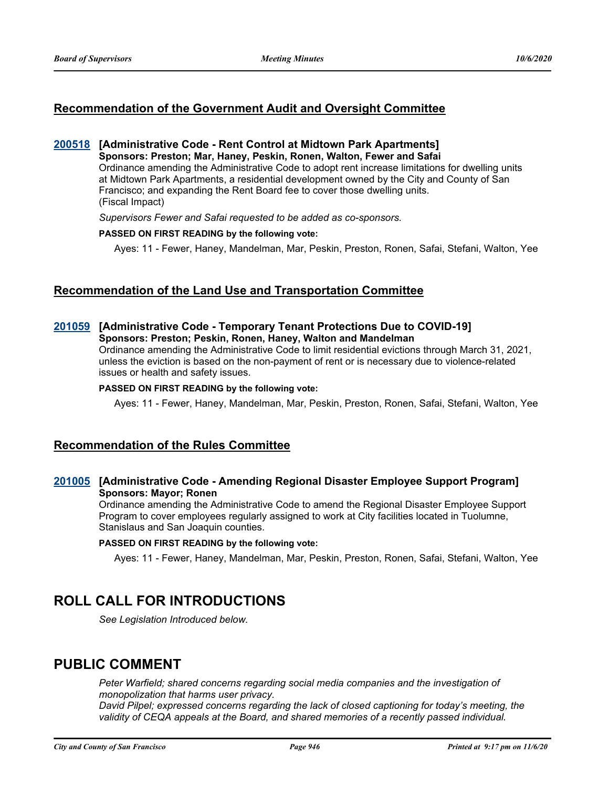# **Recommendation of the Government Audit and Oversight Committee**

#### **[200518](http://sfgov.legistar.com/gateway.aspx?m=l&id=35954) [Administrative Code - Rent Control at Midtown Park Apartments] Sponsors: Preston; Mar, Haney, Peskin, Ronen, Walton, Fewer and Safai**

Ordinance amending the Administrative Code to adopt rent increase limitations for dwelling units at Midtown Park Apartments, a residential development owned by the City and County of San Francisco; and expanding the Rent Board fee to cover those dwelling units. (Fiscal Impact)

*Supervisors Fewer and Safai requested to be added as co-sponsors.*

#### **PASSED ON FIRST READING by the following vote:**

Ayes: 11 - Fewer, Haney, Mandelman, Mar, Peskin, Preston, Ronen, Safai, Stefani, Walton, Yee

# **Recommendation of the Land Use and Transportation Committee**

#### **[201059](http://sfgov.legistar.com/gateway.aspx?m=l&id=36495) [Administrative Code - Temporary Tenant Protections Due to COVID-19] Sponsors: Preston; Peskin, Ronen, Haney, Walton and Mandelman**

Ordinance amending the Administrative Code to limit residential evictions through March 31, 2021, unless the eviction is based on the non-payment of rent or is necessary due to violence-related issues or health and safety issues.

#### **PASSED ON FIRST READING by the following vote:**

Ayes: 11 - Fewer, Haney, Mandelman, Mar, Peskin, Preston, Ronen, Safai, Stefani, Walton, Yee

# **Recommendation of the Rules Committee**

# **[201005](http://sfgov.legistar.com/gateway.aspx?m=l&id=36441) [Administrative Code - Amending Regional Disaster Employee Support Program] Sponsors: Mayor; Ronen**

Ordinance amending the Administrative Code to amend the Regional Disaster Employee Support Program to cover employees regularly assigned to work at City facilities located in Tuolumne, Stanislaus and San Joaquin counties.

#### **PASSED ON FIRST READING by the following vote:**

Ayes: 11 - Fewer, Haney, Mandelman, Mar, Peskin, Preston, Ronen, Safai, Stefani, Walton, Yee

# **ROLL CALL FOR INTRODUCTIONS**

*See Legislation Introduced below.*

# **PUBLIC COMMENT**

Peter Warfield; shared concerns regarding social media companies and the investigation of *monopolization that harms user privacy.*

*David Pilpel; expressed concerns regarding the lack of closed captioning for today's meeting, the validity of CEQA appeals at the Board, and shared memories of a recently passed individual.*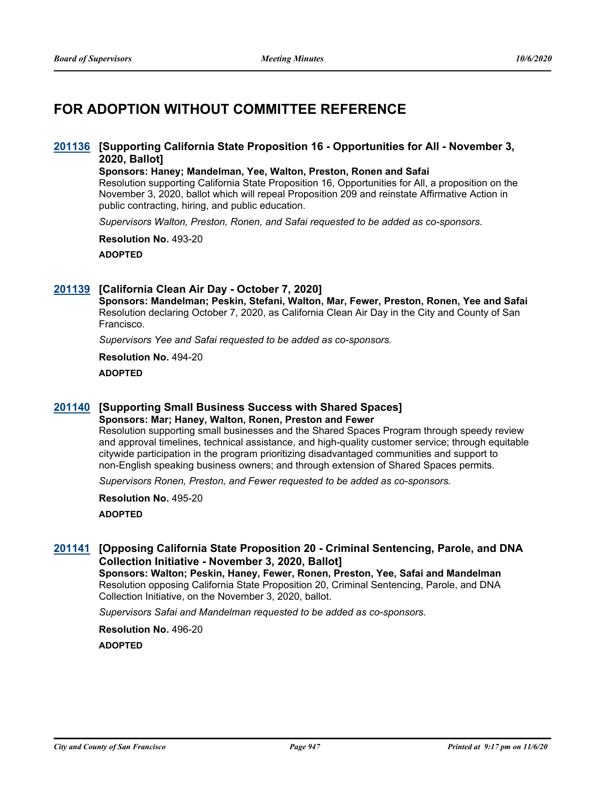# **FOR ADOPTION WITHOUT COMMITTEE REFERENCE**

### **[Supporting California State Proposition 16 - Opportunities for All - November 3, [201136](http://sfgov.legistar.com/gateway.aspx?m=l&id=36572) 2020, Ballot]**

**Sponsors: Haney; Mandelman, Yee, Walton, Preston, Ronen and Safai** Resolution supporting California State Proposition 16, Opportunities for All, a proposition on the November 3, 2020, ballot which will repeal Proposition 209 and reinstate Affirmative Action in

public contracting, hiring, and public education.

*Supervisors Walton, Preston, Ronen, and Safai requested to be added as co-sponsors.*

**Resolution No.** 493-20

**ADOPTED**

### **[201139](http://sfgov.legistar.com/gateway.aspx?m=l&id=36575) [California Clean Air Day - October 7, 2020]**

**Sponsors: Mandelman; Peskin, Stefani, Walton, Mar, Fewer, Preston, Ronen, Yee and Safai** Resolution declaring October 7, 2020, as California Clean Air Day in the City and County of San Francisco.

*Supervisors Yee and Safai requested to be added as co-sponsors.*

**Resolution No.** 494-20

**ADOPTED**

# **[201140](http://sfgov.legistar.com/gateway.aspx?m=l&id=36576) [Supporting Small Business Success with Shared Spaces]**

**Sponsors: Mar; Haney, Walton, Ronen, Preston and Fewer**

Resolution supporting small businesses and the Shared Spaces Program through speedy review and approval timelines, technical assistance, and high-quality customer service; through equitable citywide participation in the program prioritizing disadvantaged communities and support to non-English speaking business owners; and through extension of Shared Spaces permits.

*Supervisors Ronen, Preston, and Fewer requested to be added as co-sponsors.*

**Resolution No.** 495-20 **ADOPTED**

# **[Opposing California State Proposition 20 - Criminal Sentencing, Parole, and DNA [201141](http://sfgov.legistar.com/gateway.aspx?m=l&id=36577) Collection Initiative - November 3, 2020, Ballot]**

**Sponsors: Walton; Peskin, Haney, Fewer, Ronen, Preston, Yee, Safai and Mandelman** Resolution opposing California State Proposition 20, Criminal Sentencing, Parole, and DNA Collection Initiative, on the November 3, 2020, ballot.

*Supervisors Safai and Mandelman requested to be added as co-sponsors.*

**Resolution No.** 496-20 **ADOPTED**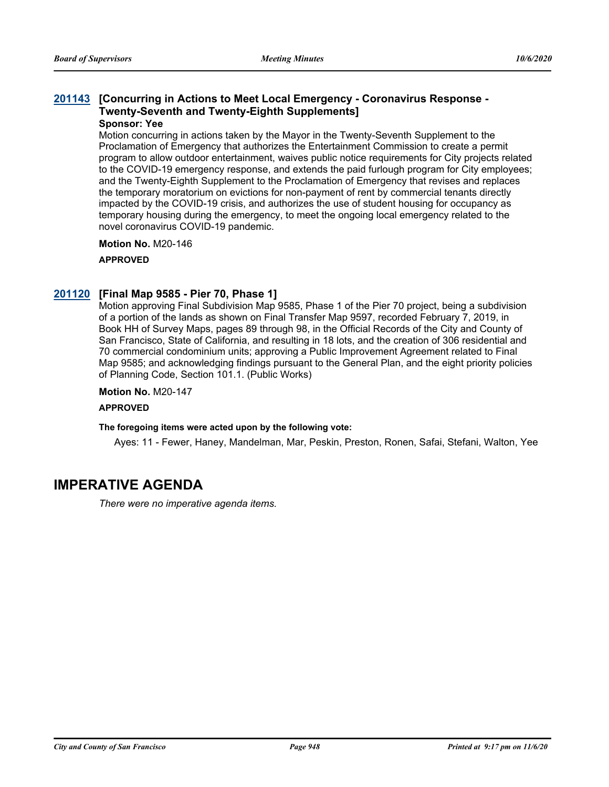# **[Concurring in Actions to Meet Local Emergency - Coronavirus Response - [201143](http://sfgov.legistar.com/gateway.aspx?m=l&id=36579) Twenty-Seventh and Twenty-Eighth Supplements]**

### **Sponsor: Yee**

Motion concurring in actions taken by the Mayor in the Twenty-Seventh Supplement to the Proclamation of Emergency that authorizes the Entertainment Commission to create a permit program to allow outdoor entertainment, waives public notice requirements for City projects related to the COVID-19 emergency response, and extends the paid furlough program for City employees; and the Twenty-Eighth Supplement to the Proclamation of Emergency that revises and replaces the temporary moratorium on evictions for non-payment of rent by commercial tenants directly impacted by the COVID-19 crisis, and authorizes the use of student housing for occupancy as temporary housing during the emergency, to meet the ongoing local emergency related to the novel coronavirus COVID-19 pandemic.

**Motion No.** M20-146 **APPROVED**

#### **[201120](http://sfgov.legistar.com/gateway.aspx?m=l&id=36556) [Final Map 9585 - Pier 70, Phase 1]**

Motion approving Final Subdivision Map 9585, Phase 1 of the Pier 70 project, being a subdivision of a portion of the lands as shown on Final Transfer Map 9597, recorded February 7, 2019, in Book HH of Survey Maps, pages 89 through 98, in the Official Records of the City and County of San Francisco, State of California, and resulting in 18 lots, and the creation of 306 residential and 70 commercial condominium units; approving a Public Improvement Agreement related to Final Map 9585; and acknowledging findings pursuant to the General Plan, and the eight priority policies of Planning Code, Section 101.1. (Public Works)

#### **Motion No.** M20-147

#### **APPROVED**

#### **The foregoing items were acted upon by the following vote:**

Ayes: 11 - Fewer, Haney, Mandelman, Mar, Peskin, Preston, Ronen, Safai, Stefani, Walton, Yee

# **IMPERATIVE AGENDA**

*There were no imperative agenda items.*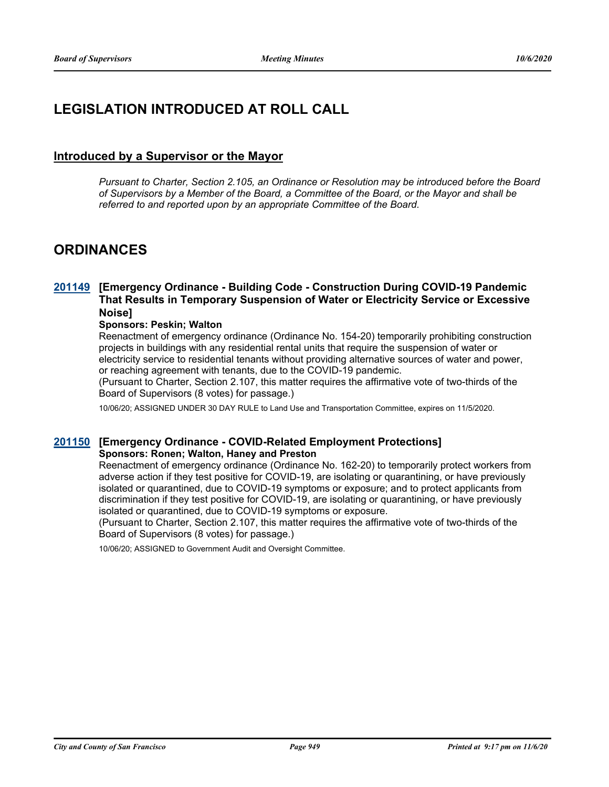# **LEGISLATION INTRODUCED AT ROLL CALL**

# **Introduced by a Supervisor or the Mayor**

*Pursuant to Charter, Section 2.105, an Ordinance or Resolution may be introduced before the Board of Supervisors by a Member of the Board, a Committee of the Board, or the Mayor and shall be referred to and reported upon by an appropriate Committee of the Board.*

# **ORDINANCES**

# **[Emergency Ordinance - Building Code - Construction During COVID-19 Pandemic [201149](http://sfgov.legistar.com/gateway.aspx?m=l&id=36585) That Results in Temporary Suspension of Water or Electricity Service or Excessive Noise]**

#### **Sponsors: Peskin; Walton**

Reenactment of emergency ordinance (Ordinance No. 154-20) temporarily prohibiting construction projects in buildings with any residential rental units that require the suspension of water or electricity service to residential tenants without providing alternative sources of water and power, or reaching agreement with tenants, due to the COVID-19 pandemic.

(Pursuant to Charter, Section 2.107, this matter requires the affirmative vote of two-thirds of the Board of Supervisors (8 votes) for passage.)

10/06/20; ASSIGNED UNDER 30 DAY RULE to Land Use and Transportation Committee, expires on 11/5/2020.

#### **[201150](http://sfgov.legistar.com/gateway.aspx?m=l&id=36586) [Emergency Ordinance - COVID-Related Employment Protections] Sponsors: Ronen; Walton, Haney and Preston**

Reenactment of emergency ordinance (Ordinance No. 162-20) to temporarily protect workers from adverse action if they test positive for COVID-19, are isolating or quarantining, or have previously isolated or quarantined, due to COVID-19 symptoms or exposure; and to protect applicants from discrimination if they test positive for COVID-19, are isolating or quarantining, or have previously isolated or quarantined, due to COVID-19 symptoms or exposure.

(Pursuant to Charter, Section 2.107, this matter requires the affirmative vote of two-thirds of the Board of Supervisors (8 votes) for passage.)

10/06/20; ASSIGNED to Government Audit and Oversight Committee.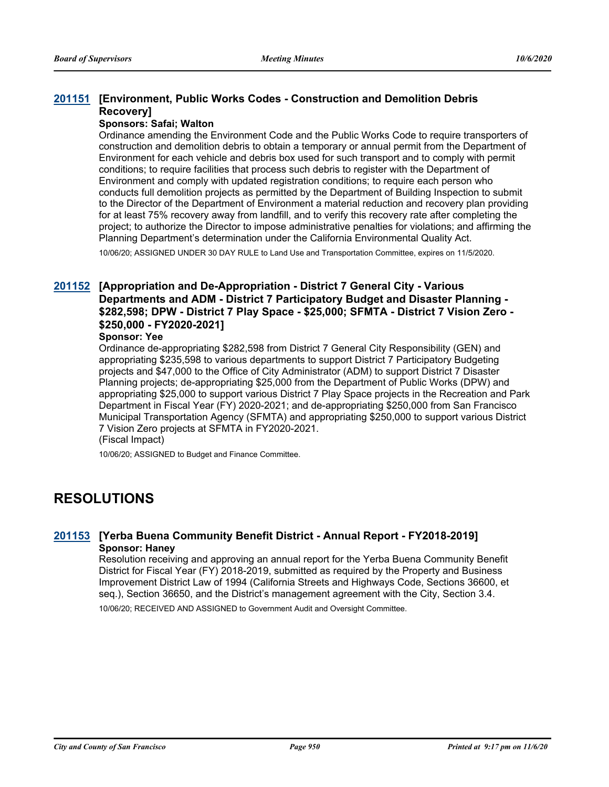# **[Environment, Public Works Codes - Construction and Demolition Debris [201151](http://sfgov.legistar.com/gateway.aspx?m=l&id=36587) Recovery]**

#### **Sponsors: Safai; Walton**

Ordinance amending the Environment Code and the Public Works Code to require transporters of construction and demolition debris to obtain a temporary or annual permit from the Department of Environment for each vehicle and debris box used for such transport and to comply with permit conditions; to require facilities that process such debris to register with the Department of Environment and comply with updated registration conditions; to require each person who conducts full demolition projects as permitted by the Department of Building Inspection to submit to the Director of the Department of Environment a material reduction and recovery plan providing for at least 75% recovery away from landfill, and to verify this recovery rate after completing the project; to authorize the Director to impose administrative penalties for violations; and affirming the Planning Department's determination under the California Environmental Quality Act.

10/06/20; ASSIGNED UNDER 30 DAY RULE to Land Use and Transportation Committee, expires on 11/5/2020.

# **[Appropriation and De-Appropriation - District 7 General City - Various [201152](http://sfgov.legistar.com/gateway.aspx?m=l&id=36588) Departments and ADM - District 7 Participatory Budget and Disaster Planning - \$282,598; DPW - District 7 Play Space - \$25,000; SFMTA - District 7 Vision Zero - \$250,000 - FY2020-2021]**

#### **Sponsor: Yee**

Ordinance de-appropriating \$282,598 from District 7 General City Responsibility (GEN) and appropriating \$235,598 to various departments to support District 7 Participatory Budgeting projects and \$47,000 to the Office of City Administrator (ADM) to support District 7 Disaster Planning projects; de-appropriating \$25,000 from the Department of Public Works (DPW) and appropriating \$25,000 to support various District 7 Play Space projects in the Recreation and Park Department in Fiscal Year (FY) 2020-2021; and de-appropriating \$250,000 from San Francisco Municipal Transportation Agency (SFMTA) and appropriating \$250,000 to support various District 7 Vision Zero projects at SFMTA in FY2020-2021.

(Fiscal Impact)

10/06/20; ASSIGNED to Budget and Finance Committee.

# **RESOLUTIONS**

### **[201153](http://sfgov.legistar.com/gateway.aspx?m=l&id=36589) [Yerba Buena Community Benefit District - Annual Report - FY2018-2019] Sponsor: Haney**

Resolution receiving and approving an annual report for the Yerba Buena Community Benefit District for Fiscal Year (FY) 2018-2019, submitted as required by the Property and Business Improvement District Law of 1994 (California Streets and Highways Code, Sections 36600, et seq.), Section 36650, and the District's management agreement with the City, Section 3.4.

10/06/20; RECEIVED AND ASSIGNED to Government Audit and Oversight Committee.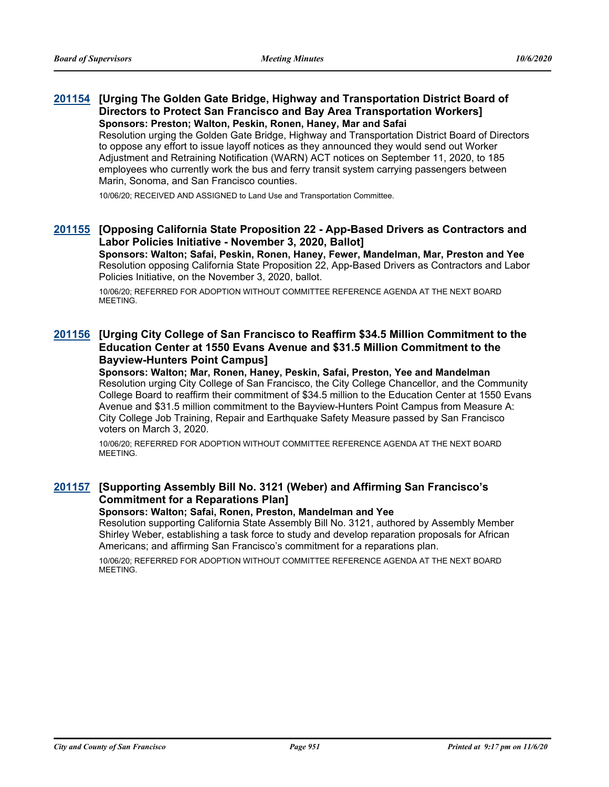# **[Urging The Golden Gate Bridge, Highway and Transportation District Board of [201154](http://sfgov.legistar.com/gateway.aspx?m=l&id=36590) Directors to Protect San Francisco and Bay Area Transportation Workers] Sponsors: Preston; Walton, Peskin, Ronen, Haney, Mar and Safai**

Resolution urging the Golden Gate Bridge, Highway and Transportation District Board of Directors to oppose any effort to issue layoff notices as they announced they would send out Worker Adjustment and Retraining Notification (WARN) ACT notices on September 11, 2020, to 185 employees who currently work the bus and ferry transit system carrying passengers between Marin, Sonoma, and San Francisco counties.

10/06/20; RECEIVED AND ASSIGNED to Land Use and Transportation Committee.

# **[Opposing California State Proposition 22 - App-Based Drivers as Contractors and [201155](http://sfgov.legistar.com/gateway.aspx?m=l&id=36591) Labor Policies Initiative - November 3, 2020, Ballot]**

**Sponsors: Walton; Safai, Peskin, Ronen, Haney, Fewer, Mandelman, Mar, Preston and Yee** Resolution opposing California State Proposition 22, App-Based Drivers as Contractors and Labor Policies Initiative, on the November 3, 2020, ballot.

10/06/20; REFERRED FOR ADOPTION WITHOUT COMMITTEE REFERENCE AGENDA AT THE NEXT BOARD MEETING.

# **[Urging City College of San Francisco to Reaffirm \$34.5 Million Commitment to the [201156](http://sfgov.legistar.com/gateway.aspx?m=l&id=36592) Education Center at 1550 Evans Avenue and \$31.5 Million Commitment to the Bayview-Hunters Point Campus]**

**Sponsors: Walton; Mar, Ronen, Haney, Peskin, Safai, Preston, Yee and Mandelman** Resolution urging City College of San Francisco, the City College Chancellor, and the Community College Board to reaffirm their commitment of \$34.5 million to the Education Center at 1550 Evans Avenue and \$31.5 million commitment to the Bayview-Hunters Point Campus from Measure A: City College Job Training, Repair and Earthquake Safety Measure passed by San Francisco voters on March 3, 2020.

10/06/20; REFERRED FOR ADOPTION WITHOUT COMMITTEE REFERENCE AGENDA AT THE NEXT BOARD **MEETING** 

# **[Supporting Assembly Bill No. 3121 (Weber) and Affirming San Francisco's [201157](http://sfgov.legistar.com/gateway.aspx?m=l&id=36593) Commitment for a Reparations Plan]**

#### **Sponsors: Walton; Safai, Ronen, Preston, Mandelman and Yee**

Resolution supporting California State Assembly Bill No. 3121, authored by Assembly Member Shirley Weber, establishing a task force to study and develop reparation proposals for African Americans; and affirming San Francisco's commitment for a reparations plan.

10/06/20; REFERRED FOR ADOPTION WITHOUT COMMITTEE REFERENCE AGENDA AT THE NEXT BOARD MEETING.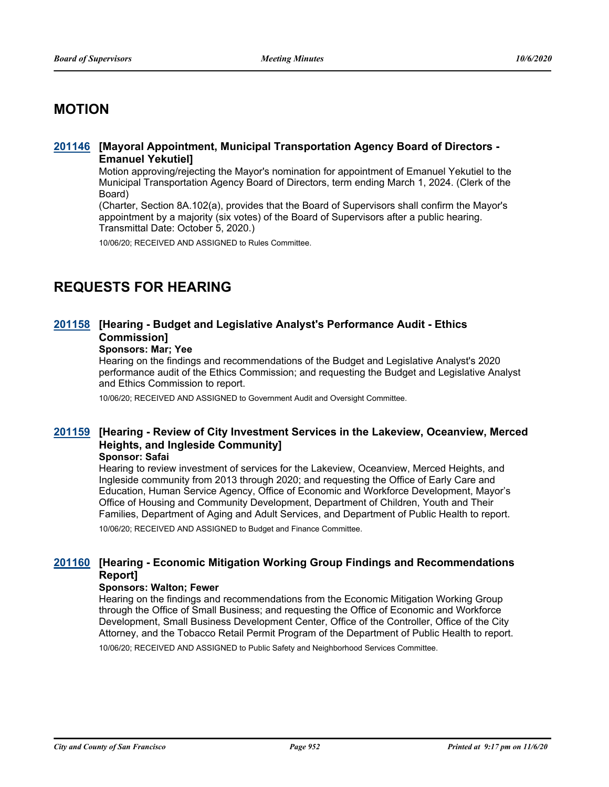# **MOTION**

### **[Mayoral Appointment, Municipal Transportation Agency Board of Directors - [201146](http://sfgov.legistar.com/gateway.aspx?m=l&id=36582) Emanuel Yekutiel]**

Motion approving/rejecting the Mayor's nomination for appointment of Emanuel Yekutiel to the Municipal Transportation Agency Board of Directors, term ending March 1, 2024. (Clerk of the Board)

(Charter, Section 8A.102(a), provides that the Board of Supervisors shall confirm the Mayor's appointment by a majority (six votes) of the Board of Supervisors after a public hearing. Transmittal Date: October 5, 2020.)

10/06/20; RECEIVED AND ASSIGNED to Rules Committee.

# **REQUESTS FOR HEARING**

# **[Hearing - Budget and Legislative Analyst's Performance Audit - Ethics [201158](http://sfgov.legistar.com/gateway.aspx?m=l&id=36594) Commission]**

# **Sponsors: Mar; Yee**

Hearing on the findings and recommendations of the Budget and Legislative Analyst's 2020 performance audit of the Ethics Commission; and requesting the Budget and Legislative Analyst and Ethics Commission to report.

10/06/20; RECEIVED AND ASSIGNED to Government Audit and Oversight Committee.

# **[Hearing - Review of City Investment Services in the Lakeview, Oceanview, Merced [201159](http://sfgov.legistar.com/gateway.aspx?m=l&id=36595) Heights, and Ingleside Community]**

#### **Sponsor: Safai**

Hearing to review investment of services for the Lakeview, Oceanview, Merced Heights, and Ingleside community from 2013 through 2020; and requesting the Office of Early Care and Education, Human Service Agency, Office of Economic and Workforce Development, Mayor's Office of Housing and Community Development, Department of Children, Youth and Their Families, Department of Aging and Adult Services, and Department of Public Health to report.

10/06/20; RECEIVED AND ASSIGNED to Budget and Finance Committee.

### **[Hearing - Economic Mitigation Working Group Findings and Recommendations [201160](http://sfgov.legistar.com/gateway.aspx?m=l&id=36596) Report]**

#### **Sponsors: Walton; Fewer**

Hearing on the findings and recommendations from the Economic Mitigation Working Group through the Office of Small Business; and requesting the Office of Economic and Workforce Development, Small Business Development Center, Office of the Controller, Office of the City Attorney, and the Tobacco Retail Permit Program of the Department of Public Health to report.

10/06/20; RECEIVED AND ASSIGNED to Public Safety and Neighborhood Services Committee.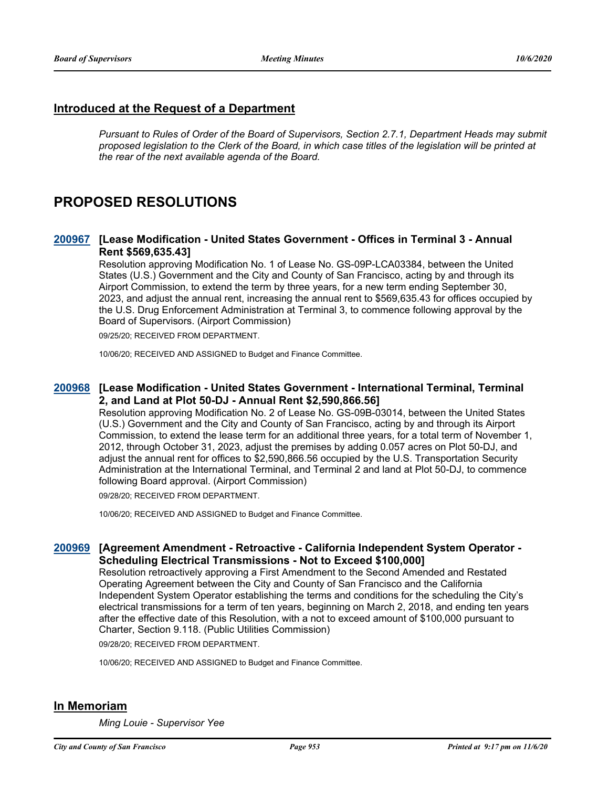# **Introduced at the Request of a Department**

*Pursuant to Rules of Order of the Board of Supervisors, Section 2.7.1, Department Heads may submit proposed legislation to the Clerk of the Board, in which case titles of the legislation will be printed at the rear of the next available agenda of the Board.*

# **PROPOSED RESOLUTIONS**

### **[Lease Modification - United States Government - Offices in Terminal 3 - Annual [200967](http://sfgov.legistar.com/gateway.aspx?m=l&id=36403) Rent \$569,635.43]**

Resolution approving Modification No. 1 of Lease No. GS-09P-LCA03384, between the United States (U.S.) Government and the City and County of San Francisco, acting by and through its Airport Commission, to extend the term by three years, for a new term ending September 30, 2023, and adjust the annual rent, increasing the annual rent to \$569,635.43 for offices occupied by the U.S. Drug Enforcement Administration at Terminal 3, to commence following approval by the Board of Supervisors. (Airport Commission)

09/25/20; RECEIVED FROM DEPARTMENT.

10/06/20; RECEIVED AND ASSIGNED to Budget and Finance Committee.

### **[Lease Modification - United States Government - International Terminal, Terminal [200968](http://sfgov.legistar.com/gateway.aspx?m=l&id=36404) 2, and Land at Plot 50-DJ - Annual Rent \$2,590,866.56]**

Resolution approving Modification No. 2 of Lease No. GS-09B-03014, between the United States (U.S.) Government and the City and County of San Francisco, acting by and through its Airport Commission, to extend the lease term for an additional three years, for a total term of November 1, 2012, through October 31, 2023, adjust the premises by adding 0.057 acres on Plot 50-DJ, and adjust the annual rent for offices to \$2,590,866.56 occupied by the U.S. Transportation Security Administration at the International Terminal, and Terminal 2 and land at Plot 50-DJ, to commence following Board approval. (Airport Commission)

09/28/20; RECEIVED FROM DEPARTMENT.

10/06/20; RECEIVED AND ASSIGNED to Budget and Finance Committee.

# **[Agreement Amendment - Retroactive - California Independent System Operator - [200969](http://sfgov.legistar.com/gateway.aspx?m=l&id=36405) Scheduling Electrical Transmissions - Not to Exceed \$100,000]**

Resolution retroactively approving a First Amendment to the Second Amended and Restated Operating Agreement between the City and County of San Francisco and the California Independent System Operator establishing the terms and conditions for the scheduling the City's electrical transmissions for a term of ten years, beginning on March 2, 2018, and ending ten years after the effective date of this Resolution, with a not to exceed amount of \$100,000 pursuant to Charter, Section 9.118. (Public Utilities Commission)

09/28/20; RECEIVED FROM DEPARTMENT.

10/06/20; RECEIVED AND ASSIGNED to Budget and Finance Committee.

# **In Memoriam**

*Ming Louie - Supervisor Yee*